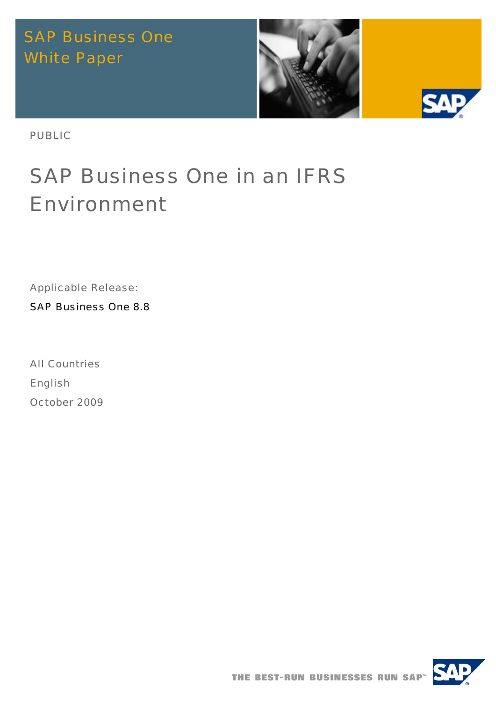# SAP Business One White Paper





PUBLIC

# SAP Business One in an IFRS Environment

Applicable Release:

SAP Business One 8.8

All Countries English October 2009

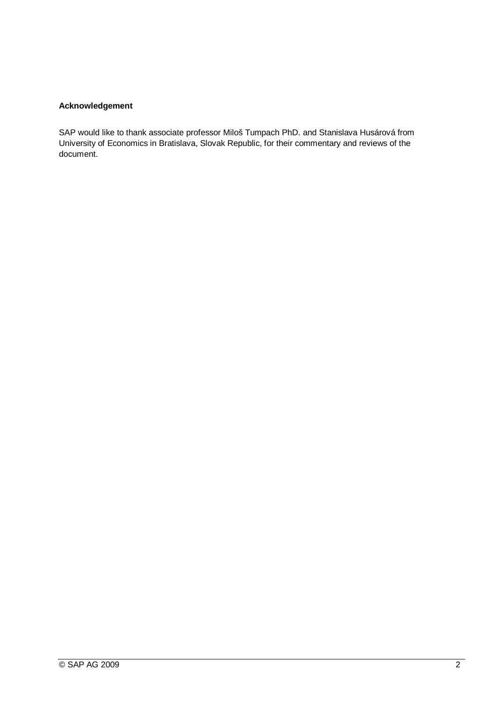#### **Acknowledgement**

SAP would like to thank associate professor Miloš Tumpach PhD. and Stanislava Husárová from University of Economics in Bratislava, Slovak Republic, for their commentary and reviews of the document.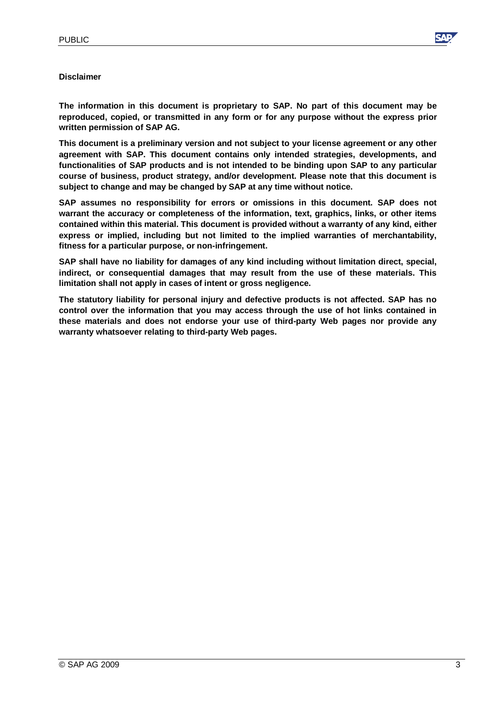

#### **Disclaimer**

**The information in this document is proprietary to SAP. No part of this document may be reproduced, copied, or transmitted in any form or for any purpose without the express prior written permission of SAP AG.**

**This document is a preliminary version and not subject to your license agreement or any other agreement with SAP. This document contains only intended strategies, developments, and functionalities of SAP products and is not intended to be binding upon SAP to any particular course of business, product strategy, and/or development. Please note that this document is subject to change and may be changed by SAP at any time without notice.**

**SAP assumes no responsibility for errors or omissions in this document. SAP does not warrant the accuracy or completeness of the information, text, graphics, links, or other items contained within this material. This document is provided without a warranty of any kind, either express or implied, including but not limited to the implied warranties of merchantability, fitness for a particular purpose, or non-infringement.**

**SAP shall have no liability for damages of any kind including without limitation direct, special, indirect, or consequential damages that may result from the use of these materials. This limitation shall not apply in cases of intent or gross negligence.**

**The statutory liability for personal injury and defective products is not affected. SAP has no control over the information that you may access through the use of hot links contained in these materials and does not endorse your use of third-party Web pages nor provide any warranty whatsoever relating to third-party Web pages.**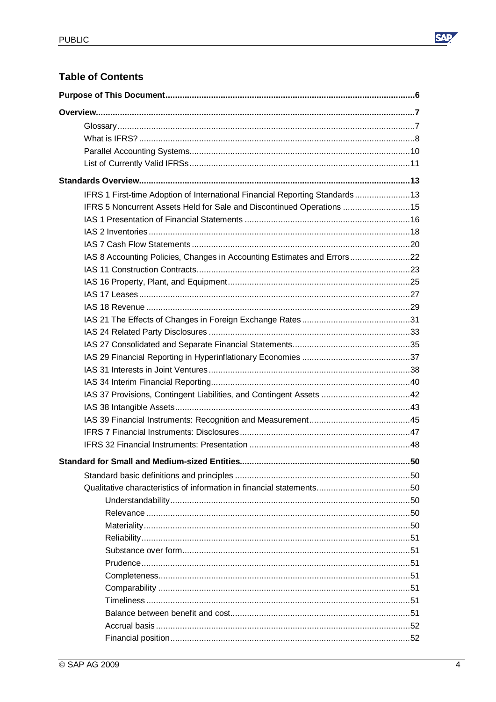

### **Table of Contents**

| IFRS 1 First-time Adoption of International Financial Reporting Standards13 |    |  |
|-----------------------------------------------------------------------------|----|--|
| IFRS 5 Noncurrent Assets Held for Sale and Discontinued Operations 15       |    |  |
|                                                                             |    |  |
|                                                                             |    |  |
|                                                                             |    |  |
| IAS 8 Accounting Policies, Changes in Accounting Estimates and Errors22     |    |  |
|                                                                             |    |  |
|                                                                             |    |  |
|                                                                             |    |  |
|                                                                             |    |  |
|                                                                             |    |  |
|                                                                             |    |  |
|                                                                             |    |  |
|                                                                             |    |  |
|                                                                             |    |  |
|                                                                             |    |  |
|                                                                             |    |  |
|                                                                             |    |  |
|                                                                             |    |  |
|                                                                             |    |  |
|                                                                             |    |  |
| <b>Standard for Small and Medium-sized Entities</b>                         | 50 |  |
|                                                                             |    |  |
|                                                                             |    |  |
|                                                                             |    |  |
|                                                                             |    |  |
|                                                                             |    |  |
|                                                                             |    |  |
|                                                                             |    |  |
|                                                                             |    |  |
|                                                                             |    |  |
|                                                                             |    |  |
|                                                                             |    |  |
|                                                                             |    |  |
|                                                                             |    |  |
|                                                                             |    |  |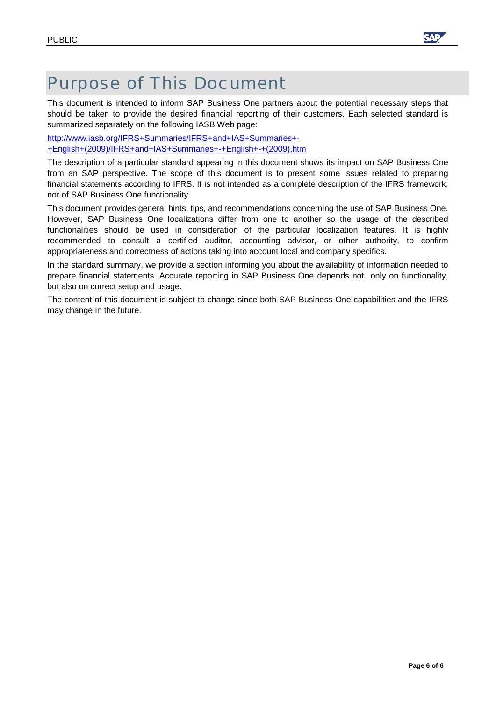

# <span id="page-5-0"></span>Purpose of This Document

This document is intended to inform SAP Business One partners about the potential necessary steps that should be taken to provide the desired financial reporting of their customers. Each selected standard is summarized separately on the following IASB Web page:

[http://www.iasb.org/IFRS+Summaries/IFRS+and+IAS+Summaries+-](http://www.iasb.org/IFRS+Summaries/IFRS+and+IAS+Summaries+-+English+(2009)/IFRS+and+IAS+Summaries+-+English+-+(2009).htm) [+English+\(2009\)/IFRS+and+IAS+Summaries+-+English+-+\(2009\).htm](http://www.iasb.org/IFRS+Summaries/IFRS+and+IAS+Summaries+-+English+(2009)/IFRS+and+IAS+Summaries+-+English+-+(2009).htm)

The description of a particular standard appearing in this document shows its impact on SAP Business One from an SAP perspective. The scope of this document is to present some issues related to preparing financial statements according to IFRS. It is not intended as a complete description of the IFRS framework, nor of SAP Business One functionality.

This document provides general hints, tips, and recommendations concerning the use of SAP Business One. However, SAP Business One localizations differ from one to another so the usage of the described functionalities should be used in consideration of the particular localization features. It is highly recommended to consult a certified auditor, accounting advisor, or other authority, to confirm appropriateness and correctness of actions taking into account local and company specifics.

In the standard summary, we provide a section informing you about the availability of information needed to prepare financial statements. Accurate reporting in SAP Business One depends not only on functionality, but also on correct setup and usage.

The content of this document is subject to change since both SAP Business One capabilities and the IFRS may change in the future.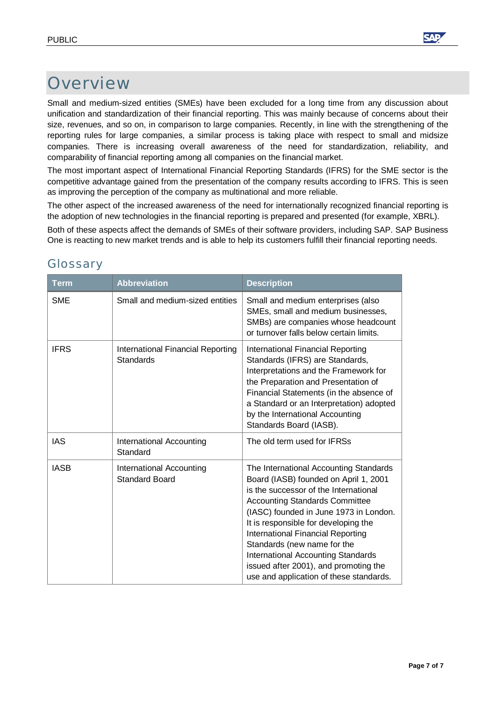

## <span id="page-6-0"></span>**Overview**

Small and medium-sized entities (SMEs) have been excluded for a long time from any discussion about unification and standardization of their financial reporting. This was mainly because of concerns about their size, revenues, and so on, in comparison to large companies. Recently, in line with the strengthening of the reporting rules for large companies, a similar process is taking place with respect to small and midsize companies. There is increasing overall awareness of the need for standardization, reliability, and comparability of financial reporting among all companies on the financial market.

The most important aspect of International Financial Reporting Standards (IFRS) for the SME sector is the competitive advantage gained from the presentation of the company results according to IFRS. This is seen as improving the perception of the company as multinational and more reliable.

The other aspect of the increased awareness of the need for internationally recognized financial reporting is the adoption of new technologies in the financial reporting is prepared and presented (for example, XBRL).

Both of these aspects affect the demands of SMEs of their software providers, including SAP. SAP Business One is reacting to new market trends and is able to help its customers fulfill their financial reporting needs.

| Term        | <b>Abbreviation</b>                               | <b>Description</b>                                                                                                                                                                                                                                                                                                                                                                                                                                |
|-------------|---------------------------------------------------|---------------------------------------------------------------------------------------------------------------------------------------------------------------------------------------------------------------------------------------------------------------------------------------------------------------------------------------------------------------------------------------------------------------------------------------------------|
| <b>SME</b>  | Small and medium-sized entities                   | Small and medium enterprises (also<br>SMEs, small and medium businesses,<br>SMBs) are companies whose headcount<br>or turnover falls below certain limits.                                                                                                                                                                                                                                                                                        |
| <b>IFRS</b> | International Financial Reporting<br>Standards    | International Financial Reporting<br>Standards (IFRS) are Standards,<br>Interpretations and the Framework for<br>the Preparation and Presentation of<br>Financial Statements (in the absence of<br>a Standard or an Interpretation) adopted<br>by the International Accounting<br>Standards Board (IASB).                                                                                                                                         |
| <b>IAS</b>  | International Accounting<br>Standard              | The old term used for IFRSs                                                                                                                                                                                                                                                                                                                                                                                                                       |
| <b>IASB</b> | International Accounting<br><b>Standard Board</b> | The International Accounting Standards<br>Board (IASB) founded on April 1, 2001<br>is the successor of the International<br><b>Accounting Standards Committee</b><br>(IASC) founded in June 1973 in London.<br>It is responsible for developing the<br>International Financial Reporting<br>Standards (new name for the<br>International Accounting Standards<br>issued after 2001), and promoting the<br>use and application of these standards. |

### <span id="page-6-1"></span>**Glossary**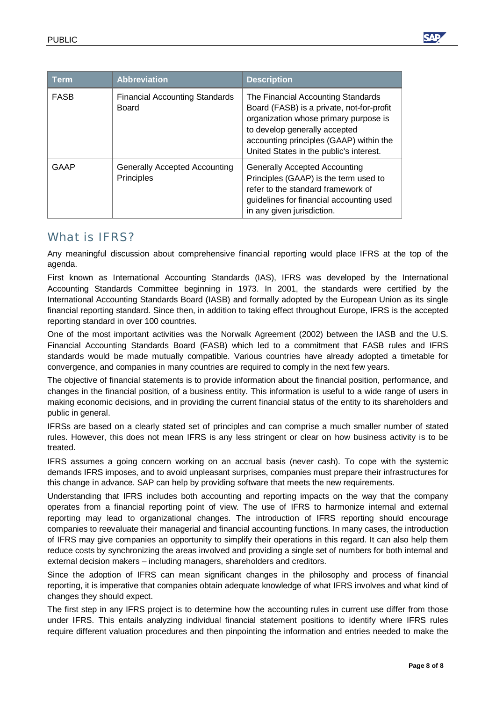

### <span id="page-7-0"></span>What is IFRS?

Any meaningful discussion about comprehensive financial reporting would place IFRS at the top of the agenda.

First known as International Accounting Standards (IAS), IFRS was developed by the International Accounting Standards Committee beginning in 1973. In 2001, the standards were certified by the International Accounting Standards Board (IASB) and formally adopted by the European Union as its single financial reporting standard. Since then, in addition to taking effect throughout Europe, IFRS is the accepted reporting standard in over 100 countries.

One of the most important activities was the Norwalk Agreement (2002) between the IASB and the U.S. Financial Accounting Standards Board (FASB) which led to a commitment that FASB rules and IFRS standards would be made mutually compatible. Various countries have already adopted a timetable for convergence, and companies in many countries are required to comply in the next few years.

The objective of financial statements is to provide information about the financial position, performance, and changes in the financial position, of a business entity. This information is useful to a wide range of users in making economic decisions, and in providing the current financial status of the entity to its shareholders and public in general.

IFRSs are based on a clearly stated set of principles and can comprise a much smaller number of stated rules. However, this does not mean IFRS is any less stringent or clear on how business activity is to be treated.

IFRS assumes a going concern working on an accrual basis (never cash). To cope with the systemic demands IFRS imposes, and to avoid unpleasant surprises, companies must prepare their infrastructures for this change in advance. SAP can help by providing software that meets the new requirements.

Understanding that IFRS includes both accounting and reporting impacts on the way that the company operates from a financial reporting point of view. The use of IFRS to harmonize internal and external reporting may lead to organizational changes. The introduction of IFRS reporting should encourage companies to reevaluate their managerial and financial accounting functions. In many cases, the introduction of IFRS may give companies an opportunity to simplify their operations in this regard. It can also help them reduce costs by synchronizing the areas involved and providing a single set of numbers for both internal and external decision makers – including managers, shareholders and creditors.

Since the adoption of IFRS can mean significant changes in the philosophy and process of financial reporting, it is imperative that companies obtain adequate knowledge of what IFRS involves and what kind of changes they should expect.

The first step in any IFRS project is to determine how the accounting rules in current use differ from those under IFRS. This entails analyzing individual financial statement positions to identify where IFRS rules require different valuation procedures and then pinpointing the information and entries needed to make the

**Page 8 of 8**

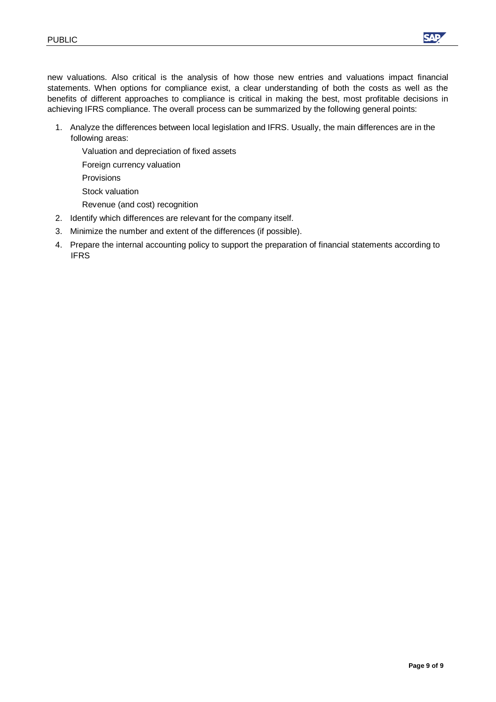

new valuations. Also critical is the analysis of how those new entries and valuations impact financial statements. When options for compliance exist, a clear understanding of both the costs as well as the benefits of different approaches to compliance is critical in making the best, most profitable decisions in achieving IFRS compliance. The overall process can be summarized by the following general points:

- 1. Analyze the differences between local legislation and IFRS. Usually, the main differences are in the following areas:
	- Valuation and depreciation of fixed assets
	- Foreign currency valuation
	- Provisions
	- Stock valuation
	- Revenue (and cost) recognition
- 2. Identify which differences are relevant for the company itself.
- 3. Minimize the number and extent of the differences (if possible).
- 4. Prepare the internal accounting policy to support the preparation of financial statements according to IFRS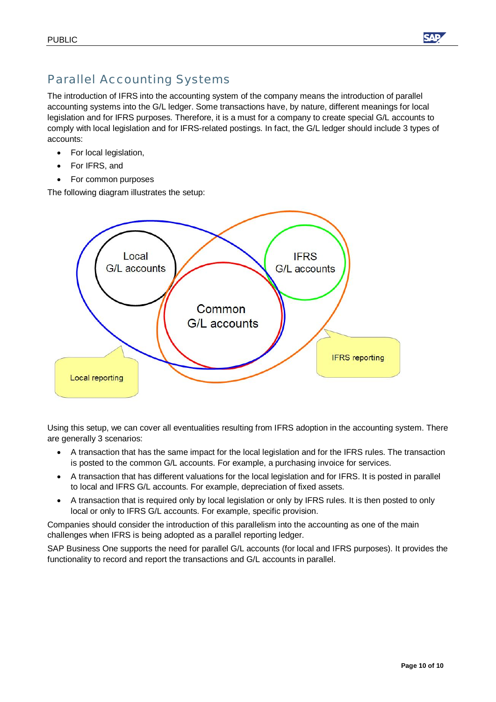

### <span id="page-9-0"></span>Parallel Accounting Systems

The introduction of IFRS into the accounting system of the company means the introduction of parallel accounting systems into the G/L ledger. Some transactions have, by nature, different meanings for local legislation and for IFRS purposes. Therefore, it is a must for a company to create special G/L accounts to comply with local legislation and for IFRS-related postings. In fact, the G/L ledger should include 3 types of accounts:

- For local legislation,
- For IFRS, and
- For common purposes

The following diagram illustrates the setup:



Using this setup, we can cover all eventualities resulting from IFRS adoption in the accounting system. There are generally 3 scenarios:

- A transaction that has the same impact for the local legislation and for the IFRS rules. The transaction is posted to the common G/L accounts. For example, a purchasing invoice for services.
- x A transaction that has different valuations for the local legislation and for IFRS. It is posted in parallel to local and IFRS G/L accounts. For example, depreciation of fixed assets.
- A transaction that is required only by local legislation or only by IFRS rules. It is then posted to only local or only to IFRS G/L accounts. For example, specific provision.

Companies should consider the introduction of this parallelism into the accounting as one of the main challenges when IFRS is being adopted as a parallel reporting ledger.

SAP Business One supports the need for parallel G/L accounts (for local and IFRS purposes). It provides the functionality to record and report the transactions and G/L accounts in parallel.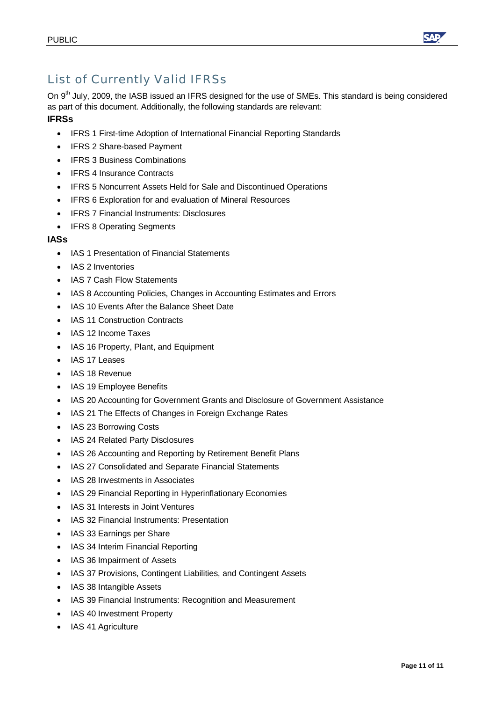

### <span id="page-10-0"></span>List of Currently Valid IFRSs

On 9<sup>th</sup> July, 2009, the IASB issued an IFRS designed for the use of SMEs. This standard is being considered as part of this document. Additionally, the following standards are relevant:

#### **IFRSs**

- IFRS 1 First-time Adoption of International Financial Reporting Standards
- IFRS 2 Share-based Payment
- **IFRS 3 Business Combinations**
- **IFRS 4 Insurance Contracts**
- IFRS 5 Noncurrent Assets Held for Sale and Discontinued Operations
- IFRS 6 Exploration for and evaluation of Mineral Resources
- IFRS 7 Financial Instruments: Disclosures
- IFRS 8 Operating Segments

#### **IASs**

- x IAS 1 Presentation of Financial Statements
- IAS 2 Inventories
- **IAS 7 Cash Flow Statements**
- IAS 8 Accounting Policies, Changes in Accounting Estimates and Errors
- IAS 10 Events After the Balance Sheet Date
- IAS 11 Construction Contracts
- IAS 12 Income Taxes
- IAS 16 Property, Plant, and Equipment
- IAS 17 Leases
- IAS 18 Revenue
- IAS 19 Employee Benefits
- IAS 20 Accounting for Government Grants and Disclosure of Government Assistance
- IAS 21 The Effects of Changes in Foreign Exchange Rates
- IAS 23 Borrowing Costs
- IAS 24 Related Party Disclosures
- IAS 26 Accounting and Reporting by Retirement Benefit Plans
- IAS 27 Consolidated and Separate Financial Statements
- IAS 28 Investments in Associates
- IAS 29 Financial Reporting in Hyperinflationary Economies
- IAS 31 Interests in Joint Ventures
- IAS 32 Financial Instruments: Presentation
- IAS 33 Earnings per Share
- IAS 34 Interim Financial Reporting
- IAS 36 Impairment of Assets
- IAS 37 Provisions, Contingent Liabilities, and Contingent Assets
- IAS 38 Intangible Assets
- IAS 39 Financial Instruments: Recognition and Measurement
- IAS 40 Investment Property
- IAS 41 Agriculture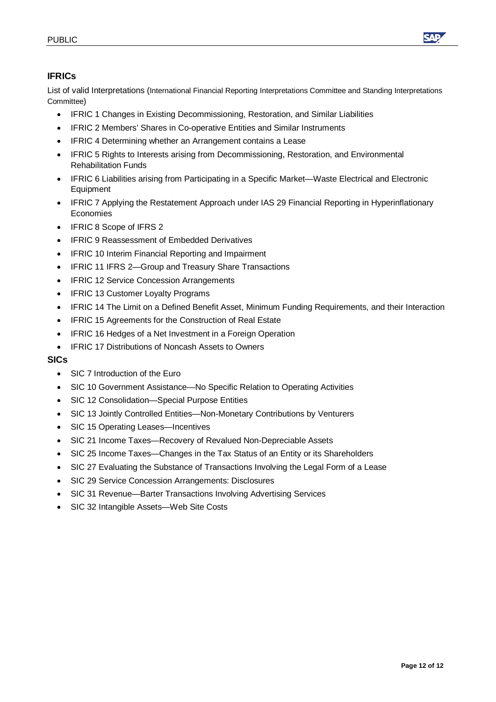

#### **IFRICs**

List of valid Interpretations (International Financial Reporting Interpretations Committee and Standing Interpretations Committee)

- x IFRIC 1 Changes in Existing Decommissioning, Restoration, and Similar Liabilities
- IFRIC 2 Members' Shares in Co-operative Entities and Similar Instruments
- IFRIC 4 Determining whether an Arrangement contains a Lease
- IFRIC 5 Rights to Interests arising from Decommissioning, Restoration, and Environmental Rehabilitation Funds
- IFRIC 6 Liabilities arising from Participating in a Specific Market—Waste Electrical and Electronic Equipment
- IFRIC 7 Applying the Restatement Approach under IAS 29 Financial Reporting in Hyperinflationary Economies
- IFRIC 8 Scope of IFRS 2
- **IFRIC 9 Reassessment of Embedded Derivatives**
- IFRIC 10 Interim Financial Reporting and Impairment
- IFRIC 11 IFRS 2-Group and Treasury Share Transactions
- **IFRIC 12 Service Concession Arrangements**
- **IFRIC 13 Customer Loyalty Programs**
- x IFRIC 14 The Limit on a Defined Benefit Asset, Minimum Funding Requirements, and their Interaction
- IFRIC 15 Agreements for the Construction of Real Estate
- IFRIC 16 Hedges of a Net Investment in a Foreign Operation
- IFRIC 17 Distributions of Noncash Assets to Owners

#### **SICs**

- $\bullet$  SIC 7 Introduction of the Euro
- SIC 10 Government Assistance—No Specific Relation to Operating Activities
- x SIC 12 Consolidation—Special Purpose Entities
- x SIC 13 Jointly Controlled Entities—Non-Monetary Contributions by Venturers
- SIC 15 Operating Leases—Incentives
- x SIC 21 Income Taxes—Recovery of Revalued Non-Depreciable Assets
- SIC 25 Income Taxes—Changes in the Tax Status of an Entity or its Shareholders
- SIC 27 Evaluating the Substance of Transactions Involving the Legal Form of a Lease
- x SIC 29 Service Concession Arrangements: Disclosures
- SIC 31 Revenue—Barter Transactions Involving Advertising Services
- x SIC 32 Intangible Assets—Web Site Costs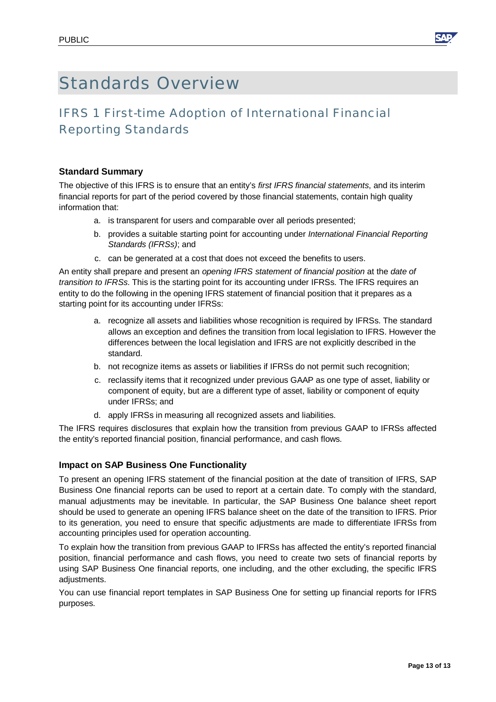

# <span id="page-12-0"></span>Standards Overview

### <span id="page-12-1"></span>IFRS 1 First-time Adoption of International Financial Reporting Standards

#### **Standard Summary**

The objective of this IFRS is to ensure that an entity's *first IFRS financial statements*, and its interim financial reports for part of the period covered by those financial statements, contain high quality information that:

- a. is transparent for users and comparable over all periods presented;
- b. provides a suitable starting point for accounting under *International Financial Reporting Standards (IFRSs)*; and
- c. can be generated at a cost that does not exceed the benefits to users.

An entity shall prepare and present an *opening IFRS statement of financial position* at the *date of transition to IFRSs*. This is the starting point for its accounting under IFRSs. The IFRS requires an entity to do the following in the opening IFRS statement of financial position that it prepares as a starting point for its accounting under IFRSs:

- a. recognize all assets and liabilities whose recognition is required by IFRSs. The standard allows an exception and defines the transition from local legislation to IFRS. However the differences between the local legislation and IFRS are not explicitly described in the standard.
- b. not recognize items as assets or liabilities if IFRSs do not permit such recognition;
- c. reclassify items that it recognized under previous GAAP as one type of asset, liability or component of equity, but are a different type of asset, liability or component of equity under IFRSs; and
- d. apply IFRSs in measuring all recognized assets and liabilities.

The IFRS requires disclosures that explain how the transition from previous GAAP to IFRSs affected the entity's reported financial position, financial performance, and cash flows.

#### **Impact on SAP Business One Functionality**

To present an opening IFRS statement of the financial position at the date of transition of IFRS, SAP Business One financial reports can be used to report at a certain date. To comply with the standard, manual adjustments may be inevitable. In particular, the SAP Business One balance sheet report should be used to generate an opening IFRS balance sheet on the date of the transition to IFRS. Prior to its generation, you need to ensure that specific adjustments are made to differentiate IFRSs from accounting principles used for operation accounting.

To explain how the transition from previous GAAP to IFRSs has affected the entity's reported financial position, financial performance and cash flows, you need to create two sets of financial reports by using SAP Business One financial reports, one including, and the other excluding, the specific IFRS adjustments.

You can use financial report templates in SAP Business One for setting up financial reports for IFRS purposes.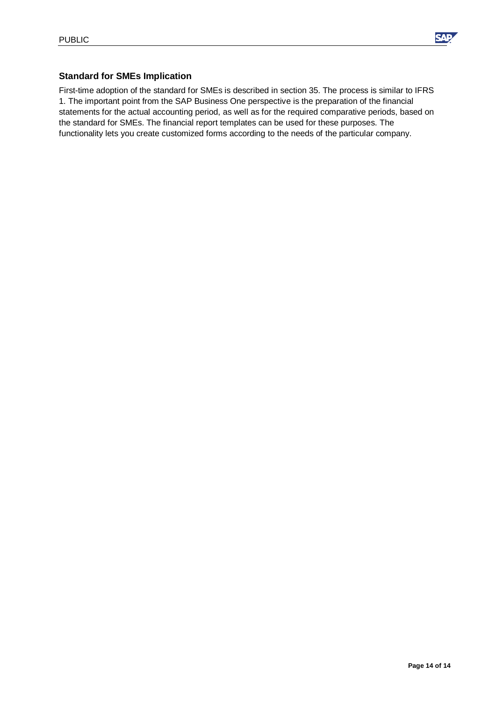

#### **Standard for SMEs Implication**

First-time adoption of the standard for SMEs is described in section 35. The process is similar to IFRS 1. The important point from the SAP Business One perspective is the preparation of the financial statements for the actual accounting period, as well as for the required comparative periods, based on the standard for SMEs. The financial report templates can be used for these purposes. The functionality lets you create customized forms according to the needs of the particular company.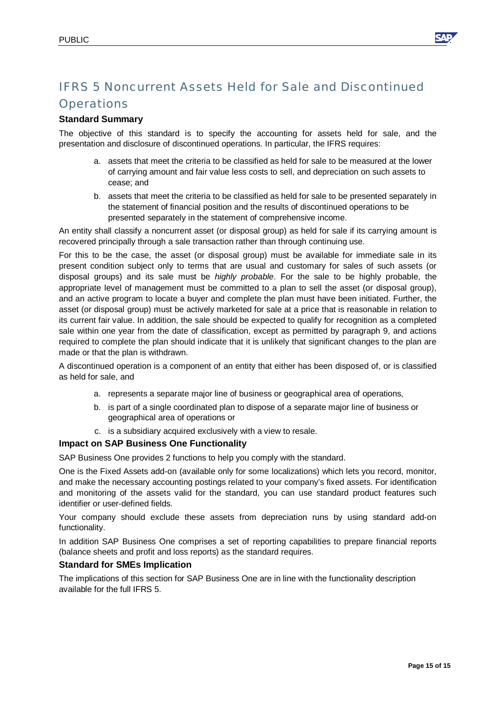

### <span id="page-14-0"></span>IFRS 5 Noncurrent Assets Held for Sale and Discontinued **Operations**

#### **Standard Summary**

The objective of this standard is to specify the accounting for assets held for sale, and the presentation and disclosure of discontinued operations. In particular, the IFRS requires:

- a. assets that meet the criteria to be classified as held for sale to be measured at the lower of carrying amount and fair value less costs to sell, and depreciation on such assets to cease; and
- b. assets that meet the criteria to be classified as held for sale to be presented separately in the statement of financial position and the results of discontinued operations to be presented separately in the statement of comprehensive income.

An entity shall classify a noncurrent asset (or disposal group) as held for sale if its carrying amount is recovered principally through a sale transaction rather than through continuing use.

For this to be the case, the asset (or disposal group) must be available for immediate sale in its present condition subject only to terms that are usual and customary for sales of such assets (or disposal groups) and its sale must be *highly probable*. For the sale to be highly probable, the appropriate level of management must be committed to a plan to sell the asset (or disposal group), and an active program to locate a buyer and complete the plan must have been initiated. Further, the asset (or disposal group) must be actively marketed for sale at a price that is reasonable in relation to its current fair value. In addition, the sale should be expected to qualify for recognition as a completed sale within one year from the date of classification, except as permitted by paragraph 9, and actions required to complete the plan should indicate that it is unlikely that significant changes to the plan are made or that the plan is withdrawn.

A discontinued operation is a component of an entity that either has been disposed of, or is classified as held for sale, and

- a. represents a separate major line of business or geographical area of operations,
- b. is part of a single coordinated plan to dispose of a separate major line of business or geographical area of operations or
- c. is a subsidiary acquired exclusively with a view to resale.

#### **Impact on SAP Business One Functionality**

SAP Business One provides 2 functions to help you comply with the standard.

One is the Fixed Assets add-on (available only for some localizations) which lets you record, monitor, and make the necessary accounting postings related to your company's fixed assets. For identification and monitoring of the assets valid for the standard, you can use standard product features such identifier or user-defined fields.

Your company should exclude these assets from depreciation runs by using standard add-on functionality.

In addition SAP Business One comprises a set of reporting capabilities to prepare financial reports (balance sheets and profit and loss reports) as the standard requires.

#### **Standard for SMEs Implication**

The implications of this section for SAP Business One are in line with the functionality description available for the full IFRS 5.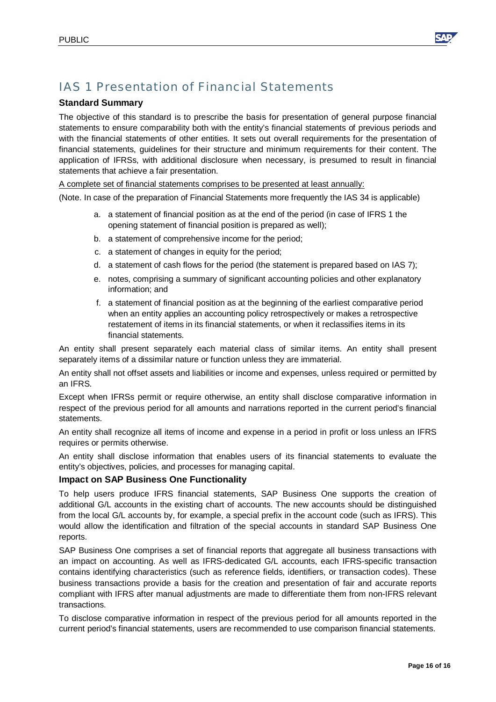

### IAS 1 Presentation of Financial Statements

#### **Standard Summary**

The objective of this standard is to prescribe the basis for presentation of general purpose financial statements to ensure comparability both with the entity's financial statements of previous periods and with the financial statements of other entities. It sets out overall requirements for the presentation of financial statements, guidelines for their structure and minimum requirements for their content. The application of IFRSs, with additional disclosure when necessary, is presumed to result in financial statements that achieve a fair presentation.

A complete set of financial statements comprises to be presented at least annually:

(Note. In case of the preparation of Financial Statements more frequently the IAS 34 is applicable)

- a. a statement of financial position as at the end of the period (in case of IFRS 1 the opening statement of financial position is prepared as well);
- b. a statement of comprehensive income for the period;
- c. a statement of changes in equity for the period;
- d. a statement of cash flows for the period (the statement is prepared based on IAS 7);
- e. notes, comprising a summary of significant accounting policies and other explanatory information; and
- f. a statement of financial position as at the beginning of the earliest comparative period when an entity applies an accounting policy retrospectively or makes a retrospective restatement of items in its financial statements, or when it reclassifies items in its financial statements.

An entity shall present separately each material class of similar items. An entity shall present separately items of a dissimilar nature or function unless they are immaterial.

An entity shall not offset assets and liabilities or income and expenses, unless required or permitted by an IFRS.

Except when IFRSs permit or require otherwise, an entity shall disclose comparative information in respect of the previous period for all amounts and narrations reported in the current period's financial statements.

An entity shall recognize all items of income and expense in a period in profit or loss unless an IFRS requires or permits otherwise.

An entity shall disclose information that enables users of its financial statements to evaluate the entity's objectives, policies, and processes for managing capital.

#### **Impact on SAP Business One Functionality**

To help users produce IFRS financial statements, SAP Business One supports the creation of additional G/L accounts in the existing chart of accounts. The new accounts should be distinguished from the local G/L accounts by, for example, a special prefix in the account code (such as IFRS). This would allow the identification and filtration of the special accounts in standard SAP Business One reports.

SAP Business One comprises a set of financial reports that aggregate all business transactions with an impact on accounting. As well as IFRS-dedicated G/L accounts, each IFRS-specific transaction contains identifying characteristics (such as reference fields, identifiers, or transaction codes). These business transactions provide a basis for the creation and presentation of fair and accurate reports compliant with IFRS after manual adjustments are made to differentiate them from non-IFRS relevant transactions.

<span id="page-15-0"></span>To disclose comparative information in respect of the previous period for all amounts reported in the current period's financial statements, users are recommended to use comparison financial statements.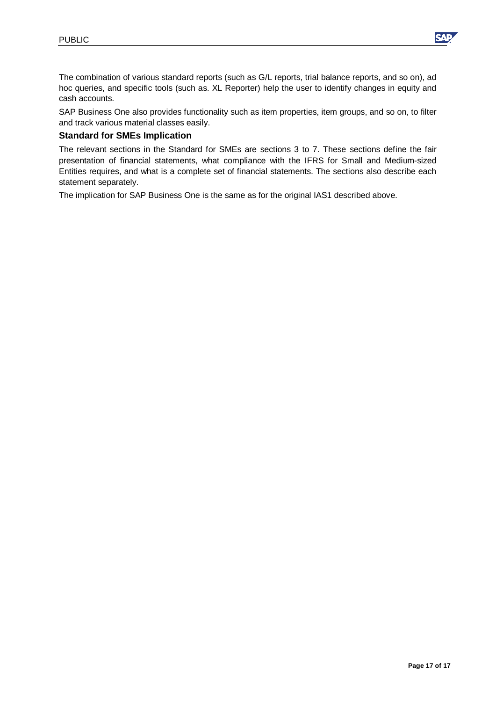

The combination of various standard reports (such as G/L reports, trial balance reports, and so on), ad hoc queries, and specific tools (such as. XL Reporter) help the user to identify changes in equity and cash accounts.

SAP Business One also provides functionality such as item properties, item groups, and so on, to filter and track various material classes easily.

#### **Standard for SMEs Implication**

The relevant sections in the Standard for SMEs are sections 3 to 7. These sections define the fair presentation of financial statements, what compliance with the IFRS for Small and Medium-sized Entities requires, and what is a complete set of financial statements. The sections also describe each statement separately.

The implication for SAP Business One is the same as for the original IAS1 described above.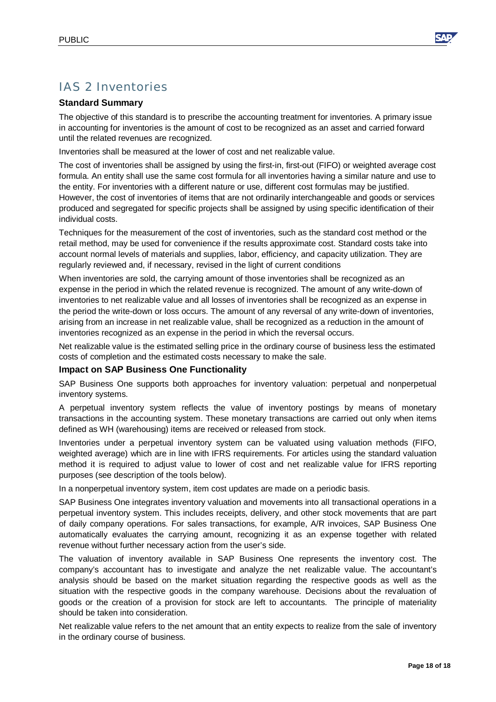

### <span id="page-17-0"></span>IAS 2 Inventories

#### **Standard Summary**

The objective of this standard is to prescribe the accounting treatment for inventories. A primary issue in accounting for inventories is the amount of cost to be recognized as an asset and carried forward until the related revenues are recognized.

Inventories shall be measured at the lower of cost and net realizable value.

The cost of inventories shall be assigned by using the first-in, first-out (FIFO) or weighted average cost formula. An entity shall use the same cost formula for all inventories having a similar nature and use to the entity. For inventories with a different nature or use, different cost formulas may be justified. However, the cost of inventories of items that are not ordinarily interchangeable and goods or services produced and segregated for specific projects shall be assigned by using specific identification of their individual costs.

Techniques for the measurement of the cost of inventories, such as the standard cost method or the retail method, may be used for convenience if the results approximate cost. Standard costs take into account normal levels of materials and supplies, labor, efficiency, and capacity utilization. They are regularly reviewed and, if necessary, revised in the light of current conditions

When inventories are sold, the carrying amount of those inventories shall be recognized as an expense in the period in which the related revenue is recognized. The amount of any write-down of inventories to net realizable value and all losses of inventories shall be recognized as an expense in the period the write-down or loss occurs. The amount of any reversal of any write-down of inventories, arising from an increase in net realizable value, shall be recognized as a reduction in the amount of inventories recognized as an expense in the period in which the reversal occurs.

Net realizable value is the estimated selling price in the ordinary course of business less the estimated costs of completion and the estimated costs necessary to make the sale.

#### **Impact on SAP Business One Functionality**

SAP Business One supports both approaches for inventory valuation: perpetual and nonperpetual inventory systems.

A perpetual inventory system reflects the value of inventory postings by means of monetary transactions in the accounting system. These monetary transactions are carried out only when items defined as WH (warehousing) items are received or released from stock.

Inventories under a perpetual inventory system can be valuated using valuation methods (FIFO, weighted average) which are in line with IFRS requirements. For articles using the standard valuation method it is required to adjust value to lower of cost and net realizable value for IFRS reporting purposes (see description of the tools below).

In a nonperpetual inventory system, item cost updates are made on a periodic basis.

SAP Business One integrates inventory valuation and movements into all transactional operations in a perpetual inventory system. This includes receipts, delivery, and other stock movements that are part of daily company operations. For sales transactions, for example, A/R invoices, SAP Business One automatically evaluates the carrying amount, recognizing it as an expense together with related revenue without further necessary action from the user's side.

The valuation of inventory available in SAP Business One represents the inventory cost. The company's accountant has to investigate and analyze the net realizable value. The accountant's analysis should be based on the market situation regarding the respective goods as well as the situation with the respective goods in the company warehouse. Decisions about the revaluation of goods or the creation of a provision for stock are left to accountants. The principle of materiality should be taken into consideration.

Net realizable value refers to the net amount that an entity expects to realize from the sale of inventory in the ordinary course of business.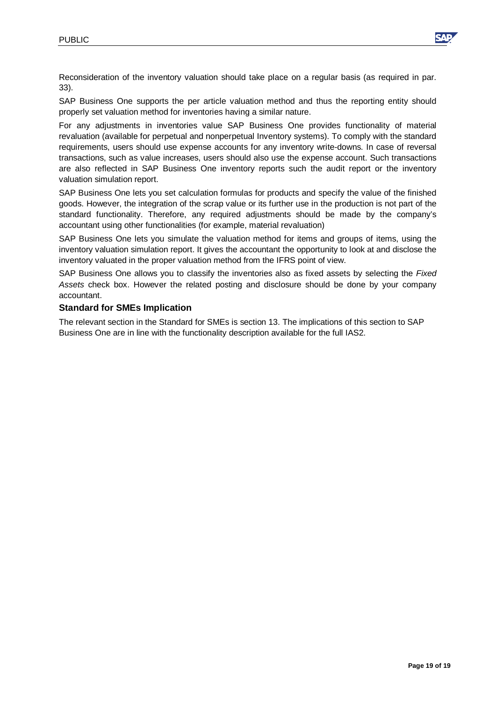

Reconsideration of the inventory valuation should take place on a regular basis (as required in par. 33).

SAP Business One supports the per article valuation method and thus the reporting entity should properly set valuation method for inventories having a similar nature.

For any adjustments in inventories value SAP Business One provides functionality of material revaluation (available for perpetual and nonperpetual Inventory systems). To comply with the standard requirements, users should use expense accounts for any inventory write-downs. In case of reversal transactions, such as value increases, users should also use the expense account. Such transactions are also reflected in SAP Business One inventory reports such the audit report or the inventory valuation simulation report.

SAP Business One lets you set calculation formulas for products and specify the value of the finished goods. However, the integration of the scrap value or its further use in the production is not part of the standard functionality. Therefore, any required adjustments should be made by the company's accountant using other functionalities (for example, material revaluation)

SAP Business One lets you simulate the valuation method for items and groups of items, using the inventory valuation simulation report. It gives the accountant the opportunity to look at and disclose the inventory valuated in the proper valuation method from the IFRS point of view.

SAP Business One allows you to classify the inventories also as fixed assets by selecting the *Fixed Assets* check box. However the related posting and disclosure should be done by your company accountant.

#### **Standard for SMEs Implication**

The relevant section in the Standard for SMEs is section 13. The implications of this section to SAP Business One are in line with the functionality description available for the full IAS2.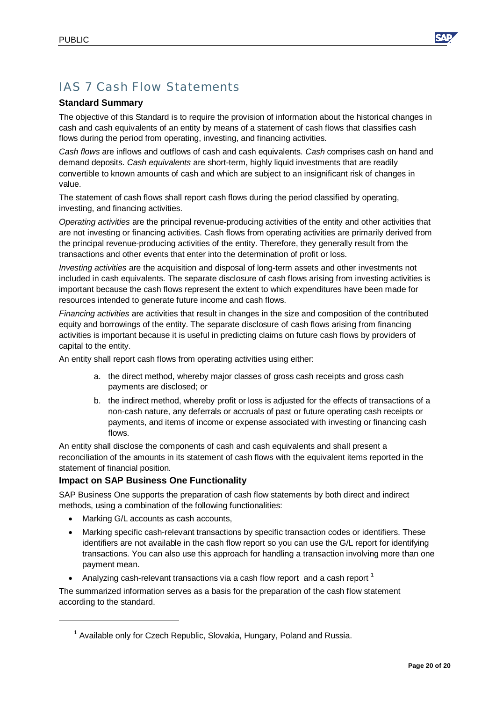

### <span id="page-19-0"></span>IAS 7 Cash Flow Statements

#### **Standard Summary**

The objective of this Standard is to require the provision of information about the historical changes in cash and cash equivalents of an entity by means of a statement of cash flows that classifies cash flows during the period from operating, investing, and financing activities.

*Cash flows* are inflows and outflows of cash and cash equivalents. *Cash* comprises cash on hand and demand deposits. *Cash equivalents* are short-term, highly liquid investments that are readily convertible to known amounts of cash and which are subject to an insignificant risk of changes in value.

The statement of cash flows shall report cash flows during the period classified by operating, investing, and financing activities.

*Operating activities* are the principal revenue-producing activities of the entity and other activities that are not investing or financing activities. Cash flows from operating activities are primarily derived from the principal revenue-producing activities of the entity. Therefore, they generally result from the transactions and other events that enter into the determination of profit or loss.

*Investing activities* are the acquisition and disposal of long-term assets and other investments not included in cash equivalents. The separate disclosure of cash flows arising from investing activities is important because the cash flows represent the extent to which expenditures have been made for resources intended to generate future income and cash flows.

*Financing activities* are activities that result in changes in the size and composition of the contributed equity and borrowings of the entity. The separate disclosure of cash flows arising from financing activities is important because it is useful in predicting claims on future cash flows by providers of capital to the entity.

An entity shall report cash flows from operating activities using either:

- a. the direct method, whereby major classes of gross cash receipts and gross cash payments are disclosed; or
- b. the indirect method, whereby profit or loss is adjusted for the effects of transactions of a non-cash nature, any deferrals or accruals of past or future operating cash receipts or payments, and items of income or expense associated with investing or financing cash flows.

An entity shall disclose the components of cash and cash equivalents and shall present a reconciliation of the amounts in its statement of cash flows with the equivalent items reported in the statement of financial position.

#### **Impact on SAP Business One Functionality**

SAP Business One supports the preparation of cash flow statements by both direct and indirect methods, using a combination of the following functionalities:

- Marking G/L accounts as cash accounts,
- Marking specific cash-relevant transactions by specific transaction codes or identifiers. These identifiers are not available in the cash flow report so you can use the G/L report for identifying transactions. You can also use this approach for handling a transaction involving more than one payment mean.
- Analyzing cash-relevant transactions via a cash flow report and a cash report  $1$

The summarized information serves as a basis for the preparation of the cash flow statement according to the standard.

<span id="page-19-1"></span><sup>&</sup>lt;sup>1</sup> Available only for Czech Republic, Slovakia, Hungary, Poland and Russia.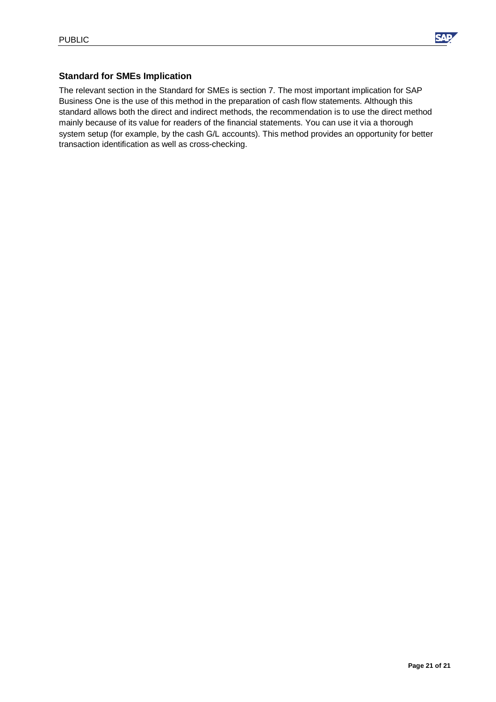

#### **Standard for SMEs Implication**

The relevant section in the Standard for SMEs is section 7. The most important implication for SAP Business One is the use of this method in the preparation of cash flow statements. Although this standard allows both the direct and indirect methods, the recommendation is to use the direct method mainly because of its value for readers of the financial statements. You can use it via a thorough system setup (for example, by the cash G/L accounts). This method provides an opportunity for better transaction identification as well as cross-checking.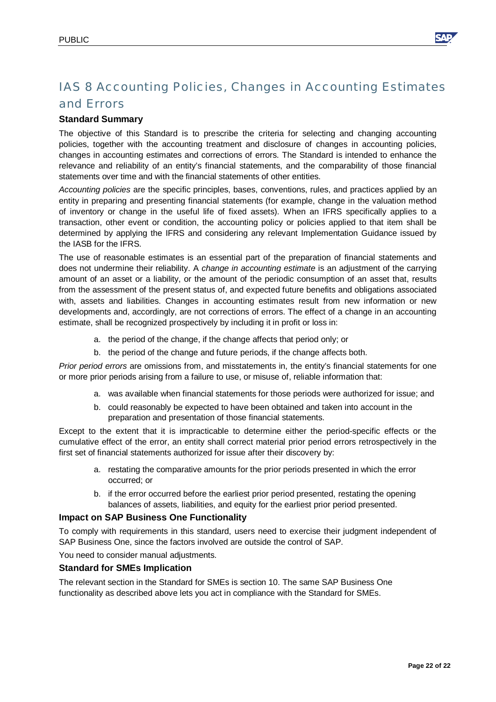

### <span id="page-21-0"></span>IAS 8 Accounting Policies, Changes in Accounting Estimates and Errors

#### **Standard Summary**

The objective of this Standard is to prescribe the criteria for selecting and changing accounting policies, together with the accounting treatment and disclosure of changes in accounting policies, changes in accounting estimates and corrections of errors. The Standard is intended to enhance the relevance and reliability of an entity's financial statements, and the comparability of those financial statements over time and with the financial statements of other entities.

*Accounting policies* are the specific principles, bases, conventions, rules, and practices applied by an entity in preparing and presenting financial statements (for example, change in the valuation method of inventory or change in the useful life of fixed assets). When an IFRS specifically applies to a transaction, other event or condition, the accounting policy or policies applied to that item shall be determined by applying the IFRS and considering any relevant Implementation Guidance issued by the IASB for the IFRS.

The use of reasonable estimates is an essential part of the preparation of financial statements and does not undermine their reliability. A *change in accounting estimate* is an adjustment of the carrying amount of an asset or a liability, or the amount of the periodic consumption of an asset that, results from the assessment of the present status of, and expected future benefits and obligations associated with, assets and liabilities. Changes in accounting estimates result from new information or new developments and, accordingly, are not corrections of errors. The effect of a change in an accounting estimate, shall be recognized prospectively by including it in profit or loss in:

- a. the period of the change, if the change affects that period only; or
- b. the period of the change and future periods, if the change affects both.

*Prior period errors* are omissions from, and misstatements in, the entity's financial statements for one or more prior periods arising from a failure to use, or misuse of, reliable information that:

- a. was available when financial statements for those periods were authorized for issue; and
- b. could reasonably be expected to have been obtained and taken into account in the preparation and presentation of those financial statements.

Except to the extent that it is impracticable to determine either the period-specific effects or the cumulative effect of the error, an entity shall correct material prior period errors retrospectively in the first set of financial statements authorized for issue after their discovery by:

- a. restating the comparative amounts for the prior periods presented in which the error occurred; or
- b. if the error occurred before the earliest prior period presented, restating the opening balances of assets, liabilities, and equity for the earliest prior period presented.

#### **Impact on SAP Business One Functionality**

To comply with requirements in this standard, users need to exercise their judgment independent of SAP Business One, since the factors involved are outside the control of SAP.

#### You need to consider manual adjustments.

#### **Standard for SMEs Implication**

The relevant section in the Standard for SMEs is section 10. The same SAP Business One functionality as described above lets you act in compliance with the Standard for SMEs.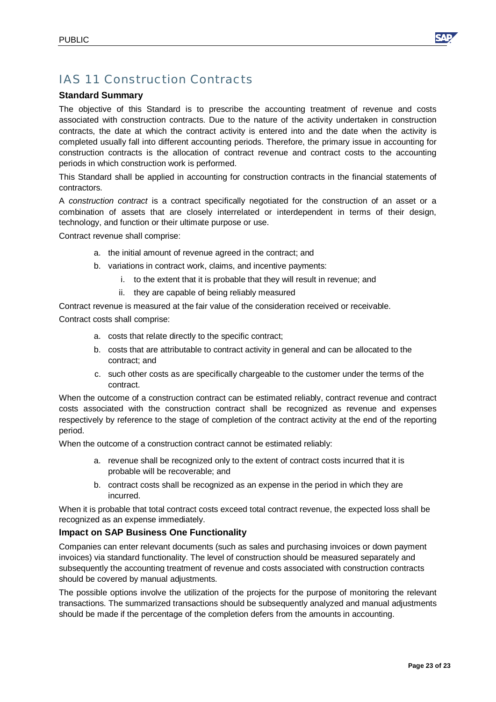

### <span id="page-22-0"></span>IAS 11 Construction Contracts

#### **Standard Summary**

The objective of this Standard is to prescribe the accounting treatment of revenue and costs associated with construction contracts. Due to the nature of the activity undertaken in construction contracts, the date at which the contract activity is entered into and the date when the activity is completed usually fall into different accounting periods. Therefore, the primary issue in accounting for construction contracts is the allocation of contract revenue and contract costs to the accounting periods in which construction work is performed.

This Standard shall be applied in accounting for construction contracts in the financial statements of contractors.

A *construction contract* is a contract specifically negotiated for the construction of an asset or a combination of assets that are closely interrelated or interdependent in terms of their design, technology, and function or their ultimate purpose or use.

Contract revenue shall comprise:

- a. the initial amount of revenue agreed in the contract; and
- b. variations in contract work, claims, and incentive payments:
	- i. to the extent that it is probable that they will result in revenue; and
	- ii. they are capable of being reliably measured

Contract revenue is measured at the fair value of the consideration received or receivable.

Contract costs shall comprise:

- a. costs that relate directly to the specific contract;
- b. costs that are attributable to contract activity in general and can be allocated to the contract; and
- c. such other costs as are specifically chargeable to the customer under the terms of the contract.

When the outcome of a construction contract can be estimated reliably, contract revenue and contract costs associated with the construction contract shall be recognized as revenue and expenses respectively by reference to the stage of completion of the contract activity at the end of the reporting period.

When the outcome of a construction contract cannot be estimated reliably:

- a. revenue shall be recognized only to the extent of contract costs incurred that it is probable will be recoverable; and
- b. contract costs shall be recognized as an expense in the period in which they are incurred.

When it is probable that total contract costs exceed total contract revenue, the expected loss shall be recognized as an expense immediately.

#### **Impact on SAP Business One Functionality**

Companies can enter relevant documents (such as sales and purchasing invoices or down payment invoices) via standard functionality. The level of construction should be measured separately and subsequently the accounting treatment of revenue and costs associated with construction contracts should be covered by manual adjustments.

The possible options involve the utilization of the projects for the purpose of monitoring the relevant transactions. The summarized transactions should be subsequently analyzed and manual adjustments should be made if the percentage of the completion defers from the amounts in accounting.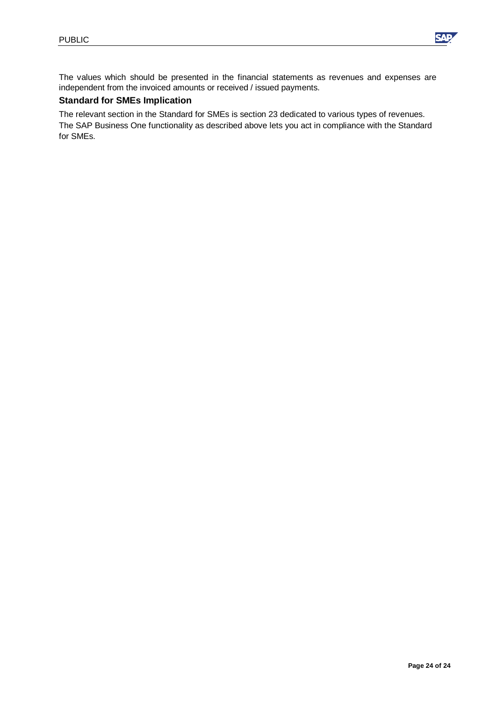

The values which should be presented in the financial statements as revenues and expenses are independent from the invoiced amounts or received / issued payments.

#### **Standard for SMEs Implication**

The relevant section in the Standard for SMEs is section 23 dedicated to various types of revenues. The SAP Business One functionality as described above lets you act in compliance with the Standard for SMEs.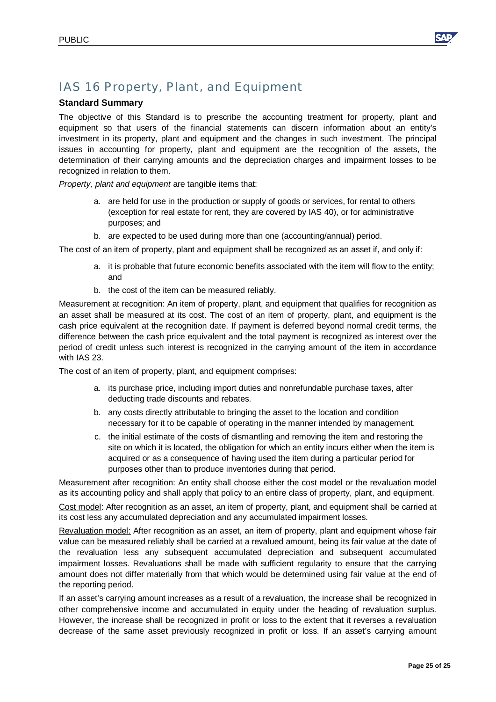

### <span id="page-24-0"></span>IAS 16 Property, Plant, and Equipment

#### **Standard Summary**

The objective of this Standard is to prescribe the accounting treatment for property, plant and equipment so that users of the financial statements can discern information about an entity's investment in its property, plant and equipment and the changes in such investment. The principal issues in accounting for property, plant and equipment are the recognition of the assets, the determination of their carrying amounts and the depreciation charges and impairment losses to be recognized in relation to them.

*Property, plant and equipment* are tangible items that:

- a. are held for use in the production or supply of goods or services, for rental to others (exception for real estate for rent, they are covered by IAS 40), or for administrative purposes; and
- b. are expected to be used during more than one (accounting/annual) period.

The cost of an item of property, plant and equipment shall be recognized as an asset if, and only if:

- a. it is probable that future economic benefits associated with the item will flow to the entity; and
- b. the cost of the item can be measured reliably.

Measurement at recognition: An item of property, plant, and equipment that qualifies for recognition as an asset shall be measured at its cost. The cost of an item of property, plant, and equipment is the cash price equivalent at the recognition date. If payment is deferred beyond normal credit terms, the difference between the cash price equivalent and the total payment is recognized as interest over the period of credit unless such interest is recognized in the carrying amount of the item in accordance with IAS 23.

The cost of an item of property, plant, and equipment comprises:

- a. its purchase price, including import duties and nonrefundable purchase taxes, after deducting trade discounts and rebates.
- b. any costs directly attributable to bringing the asset to the location and condition necessary for it to be capable of operating in the manner intended by management.
- c. the initial estimate of the costs of dismantling and removing the item and restoring the site on which it is located, the obligation for which an entity incurs either when the item is acquired or as a consequence of having used the item during a particular period for purposes other than to produce inventories during that period.

Measurement after recognition: An entity shall choose either the cost model or the revaluation model as its accounting policy and shall apply that policy to an entire class of property, plant, and equipment.

Cost model: After recognition as an asset, an item of property, plant, and equipment shall be carried at its cost less any accumulated depreciation and any accumulated impairment losses.

Revaluation model: After recognition as an asset, an item of property, plant and equipment whose fair value can be measured reliably shall be carried at a revalued amount, being its fair value at the date of the revaluation less any subsequent accumulated depreciation and subsequent accumulated impairment losses. Revaluations shall be made with sufficient regularity to ensure that the carrying amount does not differ materially from that which would be determined using fair value at the end of the reporting period.

If an asset's carrying amount increases as a result of a revaluation, the increase shall be recognized in other comprehensive income and accumulated in equity under the heading of revaluation surplus. However, the increase shall be recognized in profit or loss to the extent that it reverses a revaluation decrease of the same asset previously recognized in profit or loss. If an asset's carrying amount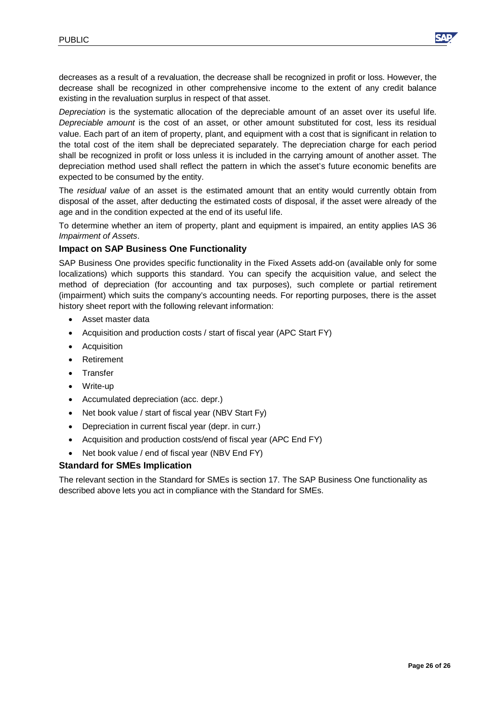

decreases as a result of a revaluation, the decrease shall be recognized in profit or loss. However, the decrease shall be recognized in other comprehensive income to the extent of any credit balance existing in the revaluation surplus in respect of that asset.

*Depreciation* is the systematic allocation of the depreciable amount of an asset over its useful life. *Depreciable amount* is the cost of an asset, or other amount substituted for cost, less its residual value. Each part of an item of property, plant, and equipment with a cost that is significant in relation to the total cost of the item shall be depreciated separately. The depreciation charge for each period shall be recognized in profit or loss unless it is included in the carrying amount of another asset. The depreciation method used shall reflect the pattern in which the asset's future economic benefits are expected to be consumed by the entity.

The *residual value* of an asset is the estimated amount that an entity would currently obtain from disposal of the asset, after deducting the estimated costs of disposal, if the asset were already of the age and in the condition expected at the end of its useful life.

To determine whether an item of property, plant and equipment is impaired, an entity applies IAS 36 *Impairment of Assets*.

#### **Impact on SAP Business One Functionality**

SAP Business One provides specific functionality in the Fixed Assets add-on (available only for some localizations) which supports this standard. You can specify the acquisition value, and select the method of depreciation (for accounting and tax purposes), such complete or partial retirement (impairment) which suits the company's accounting needs. For reporting purposes, there is the asset history sheet report with the following relevant information:

- Asset master data
- Acquisition and production costs / start of fiscal year (APC Start FY)
- **Acquisition**
- **Retirement**
- **Transfer**
- Write-up
- Accumulated depreciation (acc. depr.)
- Net book value / start of fiscal year (NBV Start Fy)
- Depreciation in current fiscal year (depr. in curr.)
- Acquisition and production costs/end of fiscal year (APC End FY)
- Net book value / end of fiscal year (NBV End FY)

#### **Standard for SMEs Implication**

The relevant section in the Standard for SMEs is section 17. The SAP Business One functionality as described above lets you act in compliance with the Standard for SMEs.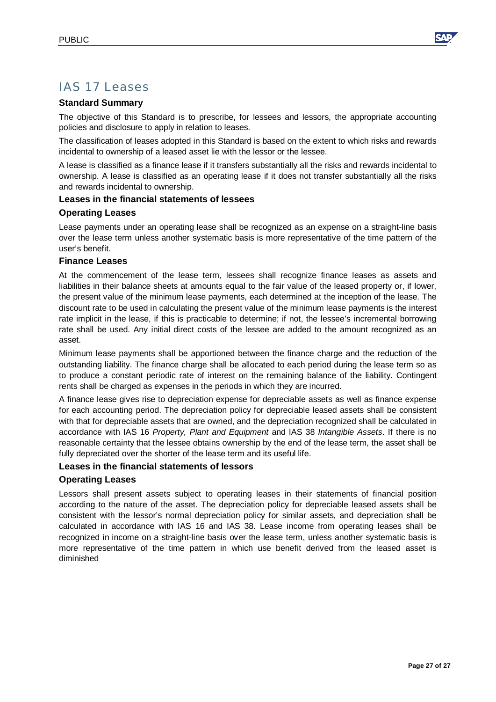

### <span id="page-26-0"></span>IAS 17 Leases

#### **Standard Summary**

The objective of this Standard is to prescribe, for lessees and lessors, the appropriate accounting policies and disclosure to apply in relation to leases.

The classification of leases adopted in this Standard is based on the extent to which risks and rewards incidental to ownership of a leased asset lie with the lessor or the lessee.

A lease is classified as a finance lease if it transfers substantially all the risks and rewards incidental to ownership. A lease is classified as an operating lease if it does not transfer substantially all the risks and rewards incidental to ownership.

#### **Leases in the financial statements of lessees**

#### **Operating Leases**

Lease payments under an operating lease shall be recognized as an expense on a straight-line basis over the lease term unless another systematic basis is more representative of the time pattern of the user's benefit.

#### **Finance Leases**

At the commencement of the lease term, lessees shall recognize finance leases as assets and liabilities in their balance sheets at amounts equal to the fair value of the leased property or, if lower, the present value of the minimum lease payments, each determined at the inception of the lease. The discount rate to be used in calculating the present value of the minimum lease payments is the interest rate implicit in the lease, if this is practicable to determine; if not, the lessee's incremental borrowing rate shall be used. Any initial direct costs of the lessee are added to the amount recognized as an asset.

Minimum lease payments shall be apportioned between the finance charge and the reduction of the outstanding liability. The finance charge shall be allocated to each period during the lease term so as to produce a constant periodic rate of interest on the remaining balance of the liability. Contingent rents shall be charged as expenses in the periods in which they are incurred.

A finance lease gives rise to depreciation expense for depreciable assets as well as finance expense for each accounting period. The depreciation policy for depreciable leased assets shall be consistent with that for depreciable assets that are owned, and the depreciation recognized shall be calculated in accordance with IAS 16 *Property, Plant and Equipment* and IAS 38 *Intangible Assets*. If there is no reasonable certainty that the lessee obtains ownership by the end of the lease term, the asset shall be fully depreciated over the shorter of the lease term and its useful life.

#### **Leases in the financial statements of lessors**

#### **Operating Leases**

Lessors shall present assets subject to operating leases in their statements of financial position according to the nature of the asset. The depreciation policy for depreciable leased assets shall be consistent with the lessor's normal depreciation policy for similar assets, and depreciation shall be calculated in accordance with IAS 16 and IAS 38. Lease income from operating leases shall be recognized in income on a straight-line basis over the lease term, unless another systematic basis is more representative of the time pattern in which use benefit derived from the leased asset is diminished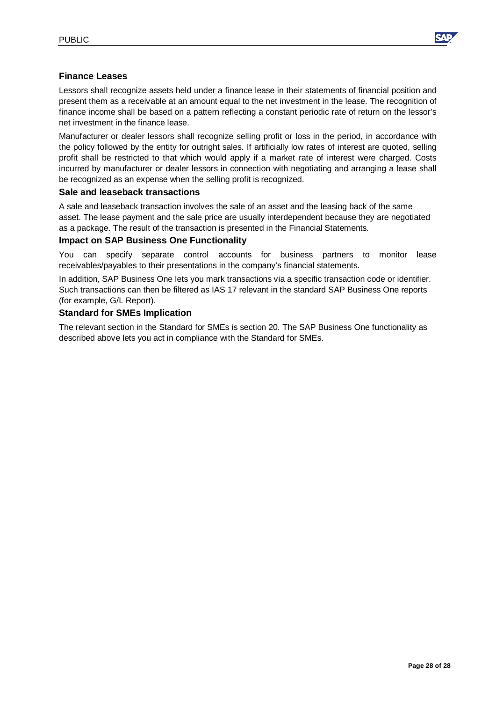

#### **Finance Leases**

Lessors shall recognize assets held under a finance lease in their statements of financial position and present them as a receivable at an amount equal to the net investment in the lease. The recognition of finance income shall be based on a pattern reflecting a constant periodic rate of return on the lessor's net investment in the finance lease.

Manufacturer or dealer lessors shall recognize selling profit or loss in the period, in accordance with the policy followed by the entity for outright sales. If artificially low rates of interest are quoted, selling profit shall be restricted to that which would apply if a market rate of interest were charged. Costs incurred by manufacturer or dealer lessors in connection with negotiating and arranging a lease shall be recognized as an expense when the selling profit is recognized.

#### **Sale and leaseback transactions**

A sale and leaseback transaction involves the sale of an asset and the leasing back of the same asset. The lease payment and the sale price are usually interdependent because they are negotiated as a package. The result of the transaction is presented in the Financial Statements.

#### **Impact on SAP Business One Functionality**

You can specify separate control accounts for business partners to monitor lease receivables/payables to their presentations in the company's financial statements.

In addition, SAP Business One lets you mark transactions via a specific transaction code or identifier. Such transactions can then be filtered as IAS 17 relevant in the standard SAP Business One reports (for example, G/L Report).

#### **Standard for SMEs Implication**

The relevant section in the Standard for SMEs is section 20. The SAP Business One functionality as described above lets you act in compliance with the Standard for SMEs.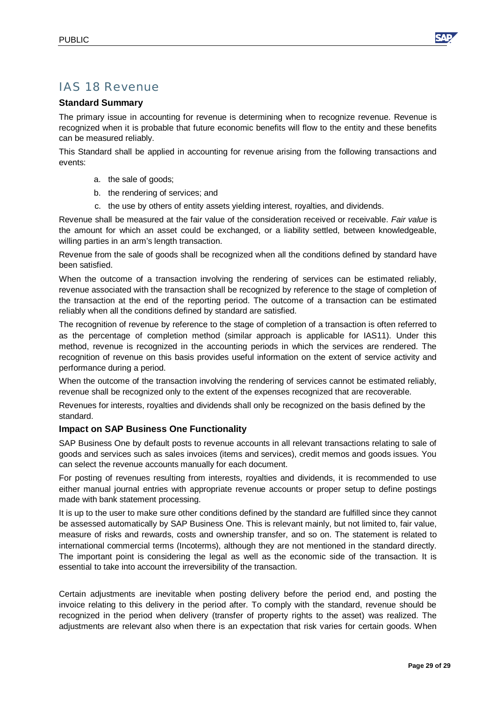

### <span id="page-28-0"></span>IAS 18 Revenue

#### **Standard Summary**

The primary issue in accounting for revenue is determining when to recognize revenue. Revenue is recognized when it is probable that future economic benefits will flow to the entity and these benefits can be measured reliably.

This Standard shall be applied in accounting for revenue arising from the following transactions and events:

- a. the sale of goods;
- b. the rendering of services; and
- c. the use by others of entity assets yielding interest, royalties, and dividends.

Revenue shall be measured at the fair value of the consideration received or receivable. *Fair value* is the amount for which an asset could be exchanged, or a liability settled, between knowledgeable, willing parties in an arm's length transaction.

Revenue from the sale of goods shall be recognized when all the conditions defined by standard have been satisfied.

When the outcome of a transaction involving the rendering of services can be estimated reliably, revenue associated with the transaction shall be recognized by reference to the stage of completion of the transaction at the end of the reporting period. The outcome of a transaction can be estimated reliably when all the conditions defined by standard are satisfied.

The recognition of revenue by reference to the stage of completion of a transaction is often referred to as the percentage of completion method (similar approach is applicable for IAS11). Under this method, revenue is recognized in the accounting periods in which the services are rendered. The recognition of revenue on this basis provides useful information on the extent of service activity and performance during a period.

When the outcome of the transaction involving the rendering of services cannot be estimated reliably, revenue shall be recognized only to the extent of the expenses recognized that are recoverable.

Revenues for interests, royalties and dividends shall only be recognized on the basis defined by the standard.

#### **Impact on SAP Business One Functionality**

SAP Business One by default posts to revenue accounts in all relevant transactions relating to sale of goods and services such as sales invoices (items and services), credit memos and goods issues. You can select the revenue accounts manually for each document.

For posting of revenues resulting from interests, royalties and dividends, it is recommended to use either manual journal entries with appropriate revenue accounts or proper setup to define postings made with bank statement processing.

It is up to the user to make sure other conditions defined by the standard are fulfilled since they cannot be assessed automatically by SAP Business One. This is relevant mainly, but not limited to, fair value, measure of risks and rewards, costs and ownership transfer, and so on. The statement is related to international commercial terms (Incoterms), although they are not mentioned in the standard directly. The important point is considering the legal as well as the economic side of the transaction. It is essential to take into account the irreversibility of the transaction.

Certain adjustments are inevitable when posting delivery before the period end, and posting the invoice relating to this delivery in the period after. To comply with the standard, revenue should be recognized in the period when delivery (transfer of property rights to the asset) was realized. The adjustments are relevant also when there is an expectation that risk varies for certain goods. When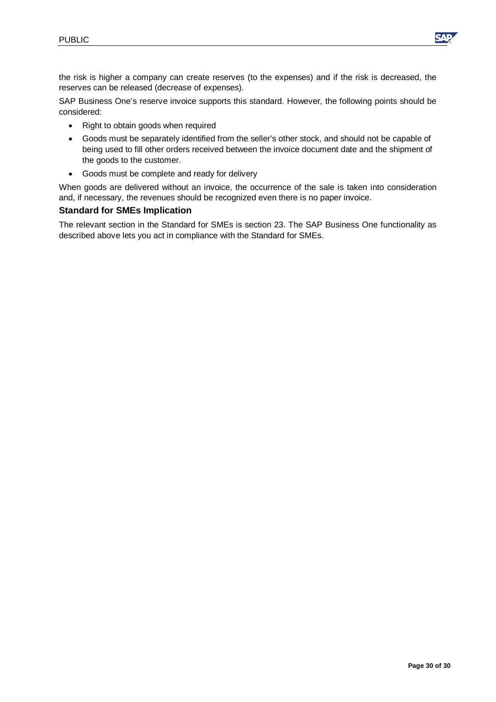

the risk is higher a company can create reserves (to the expenses) and if the risk is decreased, the reserves can be released (decrease of expenses).

SAP Business One's reserve invoice supports this standard. However, the following points should be considered:

- Right to obtain goods when required
- Goods must be separately identified from the seller's other stock, and should not be capable of being used to fill other orders received between the invoice document date and the shipment of the goods to the customer.
- Goods must be complete and ready for delivery

When goods are delivered without an invoice, the occurrence of the sale is taken into consideration and, if necessary, the revenues should be recognized even there is no paper invoice.

#### **Standard for SMEs Implication**

The relevant section in the Standard for SMEs is section 23. The SAP Business One functionality as described above lets you act in compliance with the Standard for SMEs.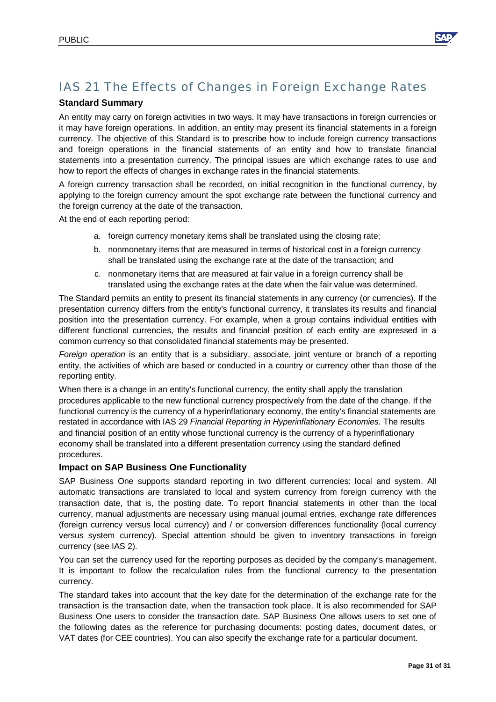

### <span id="page-30-0"></span>IAS 21 The Effects of Changes in Foreign Exchange Rates

#### **Standard Summary**

An entity may carry on foreign activities in two ways. It may have transactions in foreign currencies or it may have foreign operations. In addition, an entity may present its financial statements in a foreign currency. The objective of this Standard is to prescribe how to include foreign currency transactions and foreign operations in the financial statements of an entity and how to translate financial statements into a presentation currency. The principal issues are which exchange rates to use and how to report the effects of changes in exchange rates in the financial statements.

A foreign currency transaction shall be recorded, on initial recognition in the functional currency, by applying to the foreign currency amount the spot exchange rate between the functional currency and the foreign currency at the date of the transaction.

At the end of each reporting period:

- a. foreign currency monetary items shall be translated using the closing rate;
- b. nonmonetary items that are measured in terms of historical cost in a foreign currency shall be translated using the exchange rate at the date of the transaction; and
- c. nonmonetary items that are measured at fair value in a foreign currency shall be translated using the exchange rates at the date when the fair value was determined.

The Standard permits an entity to present its financial statements in any currency (or currencies). If the presentation currency differs from the entity's functional currency, it translates its results and financial position into the presentation currency. For example, when a group contains individual entities with different functional currencies, the results and financial position of each entity are expressed in a common currency so that consolidated financial statements may be presented.

*Foreign operation* is an entity that is a subsidiary, associate, joint venture or branch of a reporting entity, the activities of which are based or conducted in a country or currency other than those of the reporting entity.

When there is a change in an entity's functional currency, the entity shall apply the translation procedures applicable to the new functional currency prospectively from the date of the change. If the functional currency is the currency of a hyperinflationary economy, the entity's financial statements are restated in accordance with IAS 29 *Financial Reporting in Hyperinflationary Economies.* The results and financial position of an entity whose functional currency is the currency of a hyperinflationary economy shall be translated into a different presentation currency using the standard defined procedures.

#### **Impact on SAP Business One Functionality**

SAP Business One supports standard reporting in two different currencies: local and system. All automatic transactions are translated to local and system currency from foreign currency with the transaction date, that is, the posting date. To report financial statements in other than the local currency, manual adjustments are necessary using manual journal entries, exchange rate differences (foreign currency versus local currency) and / or conversion differences functionality (local currency versus system currency). Special attention should be given to inventory transactions in foreign currency (see IAS 2).

You can set the currency used for the reporting purposes as decided by the company's management. It is important to follow the recalculation rules from the functional currency to the presentation currency.

The standard takes into account that the key date for the determination of the exchange rate for the transaction is the transaction date, when the transaction took place. It is also recommended for SAP Business One users to consider the transaction date. SAP Business One allows users to set one of the following dates as the reference for purchasing documents: posting dates, document dates, or VAT dates (for CEE countries). You can also specify the exchange rate for a particular document.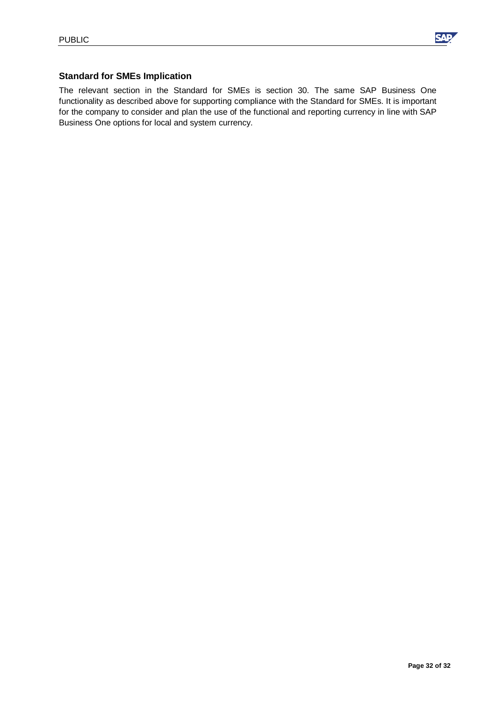

#### **Standard for SMEs Implication**

The relevant section in the Standard for SMEs is section 30. The same SAP Business One functionality as described above for supporting compliance with the Standard for SMEs. It is important for the company to consider and plan the use of the functional and reporting currency in line with SAP Business One options for local and system currency.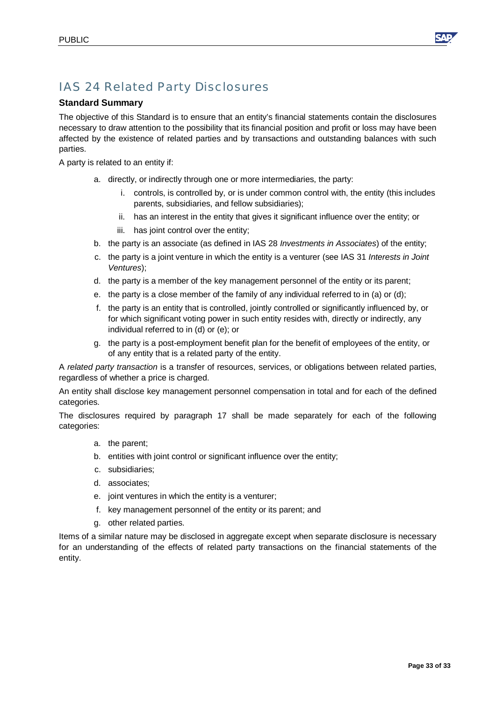

### <span id="page-32-0"></span>IAS 24 Related Party Disclosures

#### **Standard Summary**

The objective of this Standard is to ensure that an entity's financial statements contain the disclosures necessary to draw attention to the possibility that its financial position and profit or loss may have been affected by the existence of related parties and by transactions and outstanding balances with such parties.

A party is related to an entity if:

- a. directly, or indirectly through one or more intermediaries, the party:
	- i. controls, is controlled by, or is under common control with, the entity (this includes parents, subsidiaries, and fellow subsidiaries);
	- ii. has an interest in the entity that gives it significant influence over the entity; or
	- iii. has joint control over the entity;
- b. the party is an associate (as defined in IAS 28 *Investments in Associates*) of the entity;
- c. the party is a joint venture in which the entity is a venturer (see IAS 31 *Interests in Joint Ventures*);
- d. the party is a member of the key management personnel of the entity or its parent;
- e. the party is a close member of the family of any individual referred to in (a) or (d);
- f. the party is an entity that is controlled, jointly controlled or significantly influenced by, or for which significant voting power in such entity resides with, directly or indirectly, any individual referred to in (d) or (e); or
- g. the party is a post-employment benefit plan for the benefit of employees of the entity, or of any entity that is a related party of the entity.

A *related party transaction* is a transfer of resources, services, or obligations between related parties, regardless of whether a price is charged.

An entity shall disclose key management personnel compensation in total and for each of the defined categories.

The disclosures required by paragraph 17 shall be made separately for each of the following categories:

- a. the parent;
- b. entities with joint control or significant influence over the entity;
- c. subsidiaries;
- d. associates;
- e. joint ventures in which the entity is a venturer;
- f. key management personnel of the entity or its parent; and
- g. other related parties.

Items of a similar nature may be disclosed in aggregate except when separate disclosure is necessary for an understanding of the effects of related party transactions on the financial statements of the entity.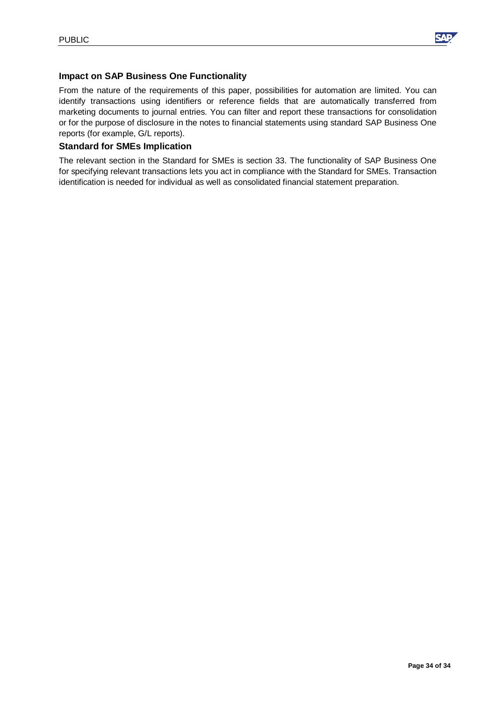

#### **Impact on SAP Business One Functionality**

From the nature of the requirements of this paper, possibilities for automation are limited. You can identify transactions using identifiers or reference fields that are automatically transferred from marketing documents to journal entries. You can filter and report these transactions for consolidation or for the purpose of disclosure in the notes to financial statements using standard SAP Business One reports (for example, G/L reports).

#### **Standard for SMEs Implication**

The relevant section in the Standard for SMEs is section 33. The functionality of SAP Business One for specifying relevant transactions lets you act in compliance with the Standard for SMEs. Transaction identification is needed for individual as well as consolidated financial statement preparation.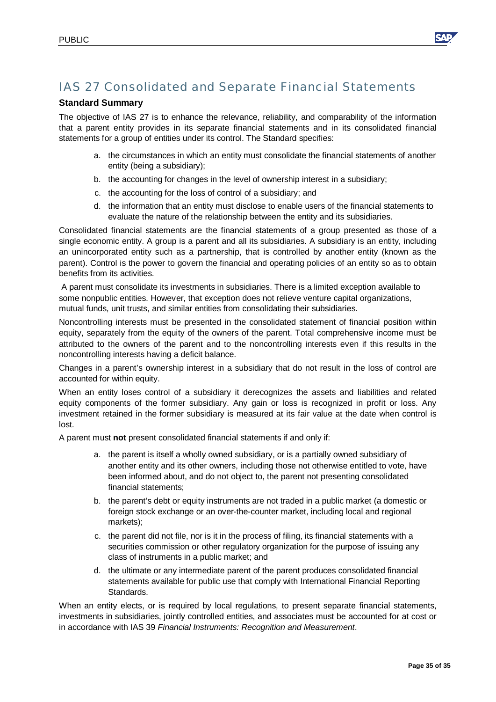

### <span id="page-34-0"></span>IAS 27 Consolidated and Separate Financial Statements

#### **Standard Summary**

The objective of IAS 27 is to enhance the relevance, reliability, and comparability of the information that a parent entity provides in its separate financial statements and in its consolidated financial statements for a group of entities under its control. The Standard specifies:

- a. the circumstances in which an entity must consolidate the financial statements of another entity (being a subsidiary);
- b. the accounting for changes in the level of ownership interest in a subsidiary;
- c. the accounting for the loss of control of a subsidiary; and
- d. the information that an entity must disclose to enable users of the financial statements to evaluate the nature of the relationship between the entity and its subsidiaries.

Consolidated financial statements are the financial statements of a group presented as those of a single economic entity. A group is a parent and all its subsidiaries. A subsidiary is an entity, including an unincorporated entity such as a partnership, that is controlled by another entity (known as the parent). Control is the power to govern the financial and operating policies of an entity so as to obtain benefits from its activities.

A parent must consolidate its investments in subsidiaries. There is a limited exception available to some nonpublic entities. However, that exception does not relieve venture capital organizations, mutual funds, unit trusts, and similar entities from consolidating their subsidiaries.

Noncontrolling interests must be presented in the consolidated statement of financial position within equity, separately from the equity of the owners of the parent. Total comprehensive income must be attributed to the owners of the parent and to the noncontrolling interests even if this results in the noncontrolling interests having a deficit balance.

Changes in a parent's ownership interest in a subsidiary that do not result in the loss of control are accounted for within equity.

When an entity loses control of a subsidiary it derecognizes the assets and liabilities and related equity components of the former subsidiary. Any gain or loss is recognized in profit or loss. Any investment retained in the former subsidiary is measured at its fair value at the date when control is lost.

A parent must **not** present consolidated financial statements if and only if:

- a. the parent is itself a wholly owned subsidiary, or is a partially owned subsidiary of another entity and its other owners, including those not otherwise entitled to vote, have been informed about, and do not object to, the parent not presenting consolidated financial statements;
- b. the parent's debt or equity instruments are not traded in a public market (a domestic or foreign stock exchange or an over-the-counter market, including local and regional markets);
- c. the parent did not file, nor is it in the process of filing, its financial statements with a securities commission or other regulatory organization for the purpose of issuing any class of instruments in a public market; and
- d. the ultimate or any intermediate parent of the parent produces consolidated financial statements available for public use that comply with International Financial Reporting Standards.

When an entity elects, or is required by local regulations, to present separate financial statements, investments in subsidiaries, jointly controlled entities, and associates must be accounted for at cost or in accordance with IAS 39 *Financial Instruments: Recognition and Measurement*.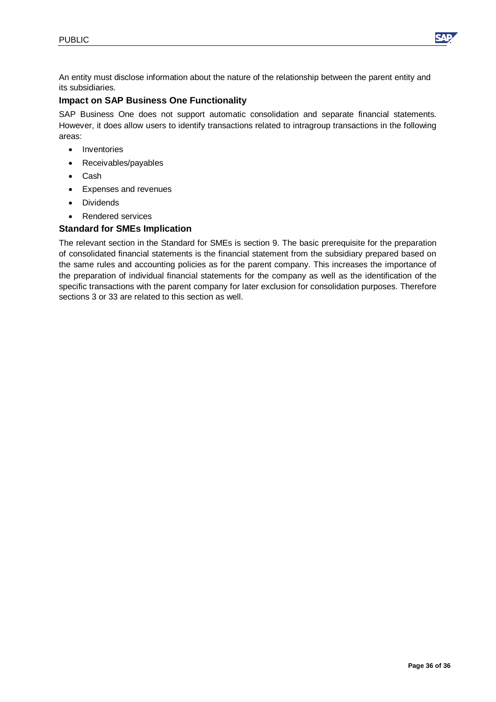

An entity must disclose information about the nature of the relationship between the parent entity and its subsidiaries.

#### **Impact on SAP Business One Functionality**

SAP Business One does not support automatic consolidation and separate financial statements. However, it does allow users to identify transactions related to intragroup transactions in the following areas:

- Inventories
- Receivables/payables
- Cash
- Expenses and revenues
- Dividends
- Rendered services

#### **Standard for SMEs Implication**

The relevant section in the Standard for SMEs is section 9. The basic prerequisite for the preparation of consolidated financial statements is the financial statement from the subsidiary prepared based on the same rules and accounting policies as for the parent company. This increases the importance of the preparation of individual financial statements for the company as well as the identification of the specific transactions with the parent company for later exclusion for consolidation purposes. Therefore sections 3 or 33 are related to this section as well.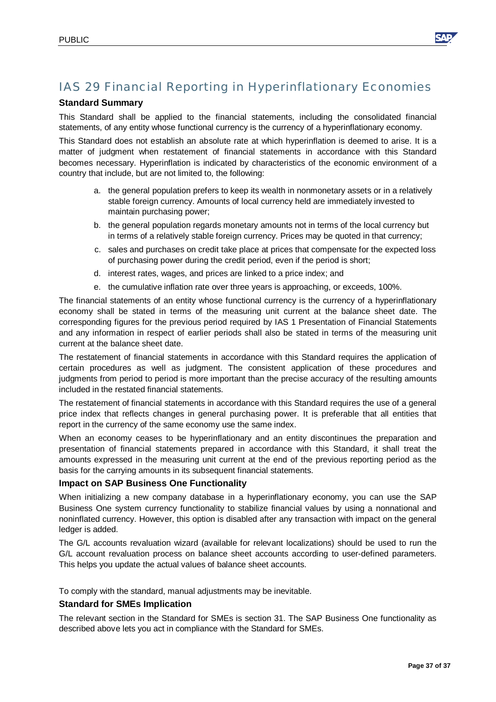

### <span id="page-36-0"></span>IAS 29 Financial Reporting in Hyperinflationary Economies

#### **Standard Summary**

This Standard shall be applied to the financial statements, including the consolidated financial statements, of any entity whose functional currency is the currency of a hyperinflationary economy.

This Standard does not establish an absolute rate at which hyperinflation is deemed to arise. It is a matter of judgment when restatement of financial statements in accordance with this Standard becomes necessary. Hyperinflation is indicated by characteristics of the economic environment of a country that include, but are not limited to, the following:

- a. the general population prefers to keep its wealth in nonmonetary assets or in a relatively stable foreign currency. Amounts of local currency held are immediately invested to maintain purchasing power;
- b. the general population regards monetary amounts not in terms of the local currency but in terms of a relatively stable foreign currency. Prices may be quoted in that currency;
- c. sales and purchases on credit take place at prices that compensate for the expected loss of purchasing power during the credit period, even if the period is short;
- d. interest rates, wages, and prices are linked to a price index; and
- e. the cumulative inflation rate over three years is approaching, or exceeds, 100%.

The financial statements of an entity whose functional currency is the currency of a hyperinflationary economy shall be stated in terms of the measuring unit current at the balance sheet date. The corresponding figures for the previous period required by IAS 1 Presentation of Financial Statements and any information in respect of earlier periods shall also be stated in terms of the measuring unit current at the balance sheet date.

The restatement of financial statements in accordance with this Standard requires the application of certain procedures as well as judgment. The consistent application of these procedures and judgments from period to period is more important than the precise accuracy of the resulting amounts included in the restated financial statements.

The restatement of financial statements in accordance with this Standard requires the use of a general price index that reflects changes in general purchasing power. It is preferable that all entities that report in the currency of the same economy use the same index.

When an economy ceases to be hyperinflationary and an entity discontinues the preparation and presentation of financial statements prepared in accordance with this Standard, it shall treat the amounts expressed in the measuring unit current at the end of the previous reporting period as the basis for the carrying amounts in its subsequent financial statements.

#### **Impact on SAP Business One Functionality**

When initializing a new company database in a hyperinflationary economy, you can use the SAP Business One system currency functionality to stabilize financial values by using a nonnational and noninflated currency. However, this option is disabled after any transaction with impact on the general ledger is added.

The G/L accounts revaluation wizard (available for relevant localizations) should be used to run the G/L account revaluation process on balance sheet accounts according to user-defined parameters. This helps you update the actual values of balance sheet accounts.

To comply with the standard, manual adjustments may be inevitable.

#### **Standard for SMEs Implication**

The relevant section in the Standard for SMEs is section 31. The SAP Business One functionality as described above lets you act in compliance with the Standard for SMEs.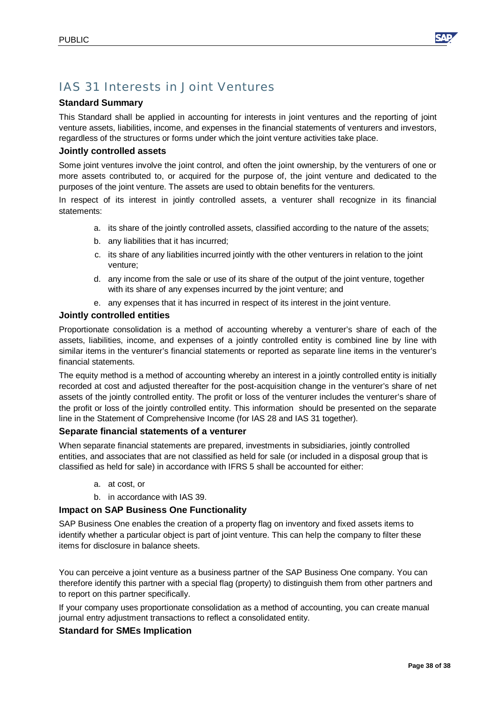

### <span id="page-37-0"></span>IAS 31 Interests in Joint Ventures

#### **Standard Summary**

This Standard shall be applied in accounting for interests in joint ventures and the reporting of joint venture assets, liabilities, income, and expenses in the financial statements of venturers and investors, regardless of the structures or forms under which the joint venture activities take place.

#### **Jointly controlled assets**

Some joint ventures involve the joint control, and often the joint ownership, by the venturers of one or more assets contributed to, or acquired for the purpose of, the joint venture and dedicated to the purposes of the joint venture. The assets are used to obtain benefits for the venturers.

In respect of its interest in jointly controlled assets, a venturer shall recognize in its financial statements:

- a. its share of the jointly controlled assets, classified according to the nature of the assets;
- b. any liabilities that it has incurred;
- c. its share of any liabilities incurred jointly with the other venturers in relation to the joint venture;
- d. any income from the sale or use of its share of the output of the joint venture, together with its share of any expenses incurred by the joint venture; and
- e. any expenses that it has incurred in respect of its interest in the joint venture.

#### **Jointly controlled entities**

Proportionate consolidation is a method of accounting whereby a venturer's share of each of the assets, liabilities, income, and expenses of a jointly controlled entity is combined line by line with similar items in the venturer's financial statements or reported as separate line items in the venturer's financial statements.

The equity method is a method of accounting whereby an interest in a jointly controlled entity is initially recorded at cost and adjusted thereafter for the post-acquisition change in the venturer's share of net assets of the jointly controlled entity. The profit or loss of the venturer includes the venturer's share of the profit or loss of the jointly controlled entity. This information should be presented on the separate line in the Statement of Comprehensive Income (for IAS 28 and IAS 31 together).

#### **Separate financial statements of a venturer**

When separate financial statements are prepared, investments in subsidiaries, jointly controlled entities, and associates that are not classified as held for sale (or included in a disposal group that is classified as held for sale) in accordance with IFRS 5 shall be accounted for either:

- a. at cost, or
- b. in accordance with IAS 39.

#### **Impact on SAP Business One Functionality**

SAP Business One enables the creation of a property flag on inventory and fixed assets items to identify whether a particular object is part of joint venture. This can help the company to filter these items for disclosure in balance sheets.

You can perceive a joint venture as a business partner of the SAP Business One company. You can therefore identify this partner with a special flag (property) to distinguish them from other partners and to report on this partner specifically.

If your company uses proportionate consolidation as a method of accounting, you can create manual journal entry adjustment transactions to reflect a consolidated entity.

#### **Standard for SMEs Implication**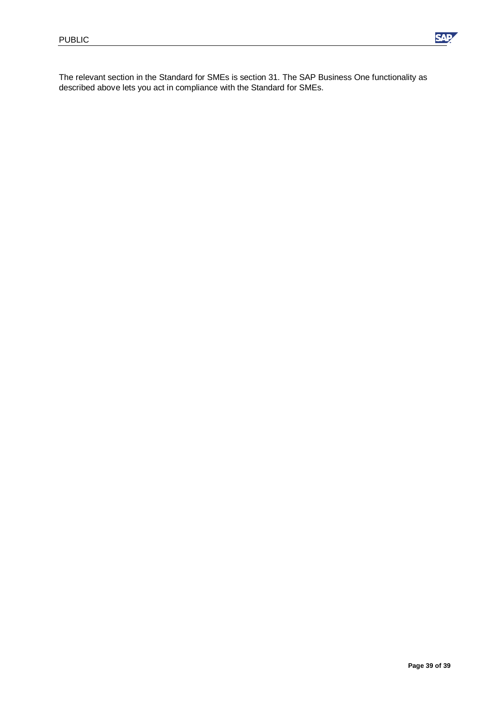

The relevant section in the Standard for SMEs is section 31. The SAP Business One functionality as described above lets you act in compliance with the Standard for SMEs.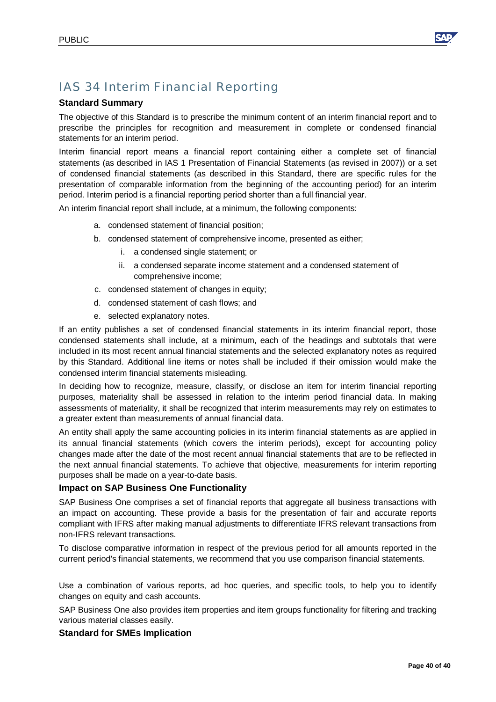

### <span id="page-39-0"></span>IAS 34 Interim Financial Reporting

#### **Standard Summary**

The objective of this Standard is to prescribe the minimum content of an interim financial report and to prescribe the principles for recognition and measurement in complete or condensed financial statements for an interim period.

Interim financial report means a financial report containing either a complete set of financial statements (as described in IAS 1 Presentation of Financial Statements (as revised in 2007)) or a set of condensed financial statements (as described in this Standard, there are specific rules for the presentation of comparable information from the beginning of the accounting period) for an interim period. Interim period is a financial reporting period shorter than a full financial year.

An interim financial report shall include, at a minimum, the following components:

- a. condensed statement of financial position;
- b. condensed statement of comprehensive income, presented as either;
	- i. a condensed single statement; or
	- ii. a condensed separate income statement and a condensed statement of comprehensive income;
- c. condensed statement of changes in equity;
- d. condensed statement of cash flows; and
- e. selected explanatory notes.

If an entity publishes a set of condensed financial statements in its interim financial report, those condensed statements shall include, at a minimum, each of the headings and subtotals that were included in its most recent annual financial statements and the selected explanatory notes as required by this Standard. Additional line items or notes shall be included if their omission would make the condensed interim financial statements misleading.

In deciding how to recognize, measure, classify, or disclose an item for interim financial reporting purposes, materiality shall be assessed in relation to the interim period financial data. In making assessments of materiality, it shall be recognized that interim measurements may rely on estimates to a greater extent than measurements of annual financial data.

An entity shall apply the same accounting policies in its interim financial statements as are applied in its annual financial statements (which covers the interim periods), except for accounting policy changes made after the date of the most recent annual financial statements that are to be reflected in the next annual financial statements. To achieve that objective, measurements for interim reporting purposes shall be made on a year-to-date basis.

#### **Impact on SAP Business One Functionality**

SAP Business One comprises a set of financial reports that aggregate all business transactions with an impact on accounting. These provide a basis for the presentation of fair and accurate reports compliant with IFRS after making manual adjustments to differentiate IFRS relevant transactions from non-IFRS relevant transactions.

To disclose comparative information in respect of the previous period for all amounts reported in the current period's financial statements, we recommend that you use comparison financial statements.

Use a combination of various reports, ad hoc queries, and specific tools, to help you to identify changes on equity and cash accounts.

SAP Business One also provides item properties and item groups functionality for filtering and tracking various material classes easily.

#### **Standard for SMEs Implication**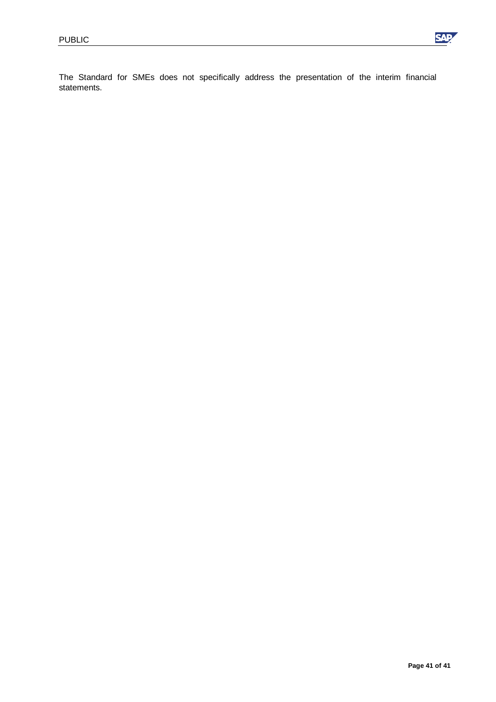

The Standard for SMEs does not specifically address the presentation of the interim financial statements.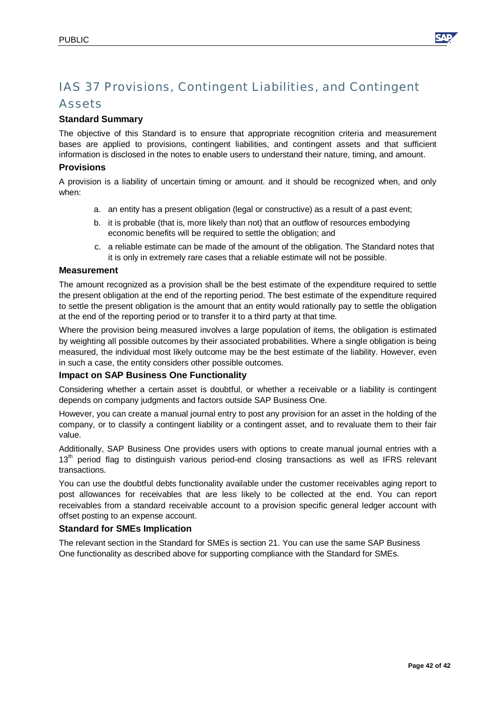

### <span id="page-41-0"></span>IAS 37 Provisions, Contingent Liabilities, and Contingent Assets

#### **Standard Summary**

The objective of this Standard is to ensure that appropriate recognition criteria and measurement bases are applied to provisions, contingent liabilities, and contingent assets and that sufficient information is disclosed in the notes to enable users to understand their nature, timing, and amount.

#### **Provisions**

A provision is a liability of uncertain timing or amount. and it should be recognized when, and only when:

- a. an entity has a present obligation (legal or constructive) as a result of a past event;
- b. it is probable (that is, more likely than not) that an outflow of resources embodying economic benefits will be required to settle the obligation; and
- c. a reliable estimate can be made of the amount of the obligation. The Standard notes that it is only in extremely rare cases that a reliable estimate will not be possible.

#### **Measurement**

The amount recognized as a provision shall be the best estimate of the expenditure required to settle the present obligation at the end of the reporting period. The best estimate of the expenditure required to settle the present obligation is the amount that an entity would rationally pay to settle the obligation at the end of the reporting period or to transfer it to a third party at that time.

Where the provision being measured involves a large population of items, the obligation is estimated by weighting all possible outcomes by their associated probabilities. Where a single obligation is being measured, the individual most likely outcome may be the best estimate of the liability. However, even in such a case, the entity considers other possible outcomes.

#### **Impact on SAP Business One Functionality**

Considering whether a certain asset is doubtful, or whether a receivable or a liability is contingent depends on company judgments and factors outside SAP Business One.

However, you can create a manual journal entry to post any provision for an asset in the holding of the company, or to classify a contingent liability or a contingent asset, and to revaluate them to their fair value.

Additionally, SAP Business One provides users with options to create manual journal entries with a 13<sup>th</sup> period flag to distinguish various period-end closing transactions as well as IFRS relevant transactions.

You can use the doubtful debts functionality available under the customer receivables aging report to post allowances for receivables that are less likely to be collected at the end. You can report receivables from a standard receivable account to a provision specific general ledger account with offset posting to an expense account.

#### **Standard for SMEs Implication**

The relevant section in the Standard for SMEs is section 21. You can use the same SAP Business One functionality as described above for supporting compliance with the Standard for SMEs.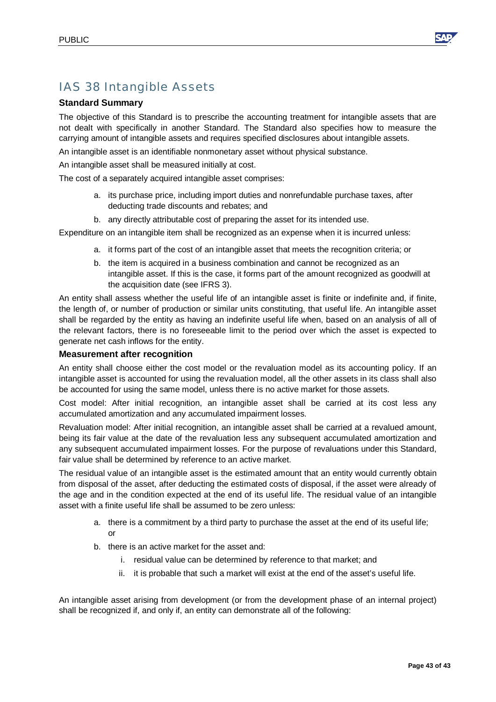

### <span id="page-42-0"></span>IAS 38 Intangible Assets

#### **Standard Summary**

The objective of this Standard is to prescribe the accounting treatment for intangible assets that are not dealt with specifically in another Standard. The Standard also specifies how to measure the carrying amount of intangible assets and requires specified disclosures about intangible assets.

An intangible asset is an identifiable nonmonetary asset without physical substance.

An intangible asset shall be measured initially at cost.

The cost of a separately acquired intangible asset comprises:

- a. its purchase price, including import duties and nonrefundable purchase taxes, after deducting trade discounts and rebates; and
- b. any directly attributable cost of preparing the asset for its intended use.

Expenditure on an intangible item shall be recognized as an expense when it is incurred unless:

- a. it forms part of the cost of an intangible asset that meets the recognition criteria; or
- b. the item is acquired in a business combination and cannot be recognized as an intangible asset. If this is the case, it forms part of the amount recognized as goodwill at the acquisition date (see IFRS 3).

An entity shall assess whether the useful life of an intangible asset is finite or indefinite and, if finite, the length of, or number of production or similar units constituting, that useful life. An intangible asset shall be regarded by the entity as having an indefinite useful life when, based on an analysis of all of the relevant factors, there is no foreseeable limit to the period over which the asset is expected to generate net cash inflows for the entity.

#### **Measurement after recognition**

An entity shall choose either the cost model or the revaluation model as its accounting policy. If an intangible asset is accounted for using the revaluation model, all the other assets in its class shall also be accounted for using the same model, unless there is no active market for those assets.

Cost model: After initial recognition, an intangible asset shall be carried at its cost less any accumulated amortization and any accumulated impairment losses.

Revaluation model: After initial recognition, an intangible asset shall be carried at a revalued amount, being its fair value at the date of the revaluation less any subsequent accumulated amortization and any subsequent accumulated impairment losses. For the purpose of revaluations under this Standard, fair value shall be determined by reference to an active market.

The residual value of an intangible asset is the estimated amount that an entity would currently obtain from disposal of the asset, after deducting the estimated costs of disposal, if the asset were already of the age and in the condition expected at the end of its useful life. The residual value of an intangible asset with a finite useful life shall be assumed to be zero unless:

- a. there is a commitment by a third party to purchase the asset at the end of its useful life; or
- b. there is an active market for the asset and:
	- i. residual value can be determined by reference to that market; and
	- ii. it is probable that such a market will exist at the end of the asset's useful life.

An intangible asset arising from development (or from the development phase of an internal project) shall be recognized if, and only if, an entity can demonstrate all of the following: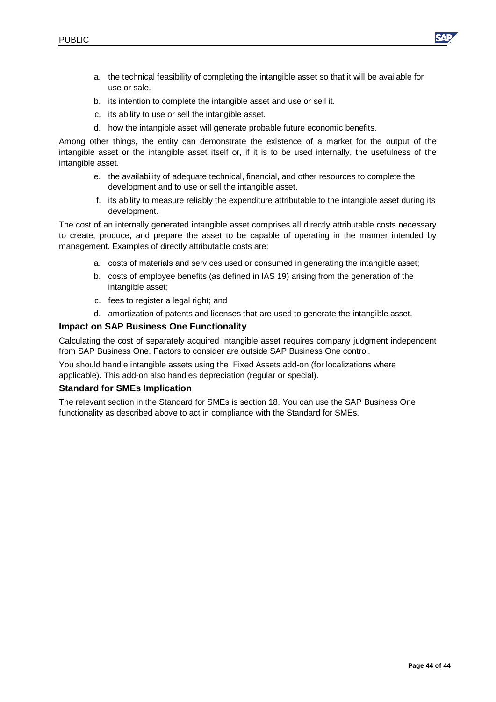

- a. the technical feasibility of completing the intangible asset so that it will be available for use or sale.
- b. its intention to complete the intangible asset and use or sell it.
- c. its ability to use or sell the intangible asset.
- d. how the intangible asset will generate probable future economic benefits.

Among other things, the entity can demonstrate the existence of a market for the output of the intangible asset or the intangible asset itself or, if it is to be used internally, the usefulness of the intangible asset.

- e. the availability of adequate technical, financial, and other resources to complete the development and to use or sell the intangible asset.
- f. its ability to measure reliably the expenditure attributable to the intangible asset during its development.

The cost of an internally generated intangible asset comprises all directly attributable costs necessary to create, produce, and prepare the asset to be capable of operating in the manner intended by management. Examples of directly attributable costs are:

- a. costs of materials and services used or consumed in generating the intangible asset;
- b. costs of employee benefits (as defined in IAS 19) arising from the generation of the intangible asset;
- c. fees to register a legal right; and
- d. amortization of patents and licenses that are used to generate the intangible asset.

#### **Impact on SAP Business One Functionality**

Calculating the cost of separately acquired intangible asset requires company judgment independent from SAP Business One. Factors to consider are outside SAP Business One control.

You should handle intangible assets using the Fixed Assets add-on (for localizations where applicable). This add-on also handles depreciation (regular or special).

#### **Standard for SMEs Implication**

The relevant section in the Standard for SMEs is section 18. You can use the SAP Business One functionality as described above to act in compliance with the Standard for SMEs.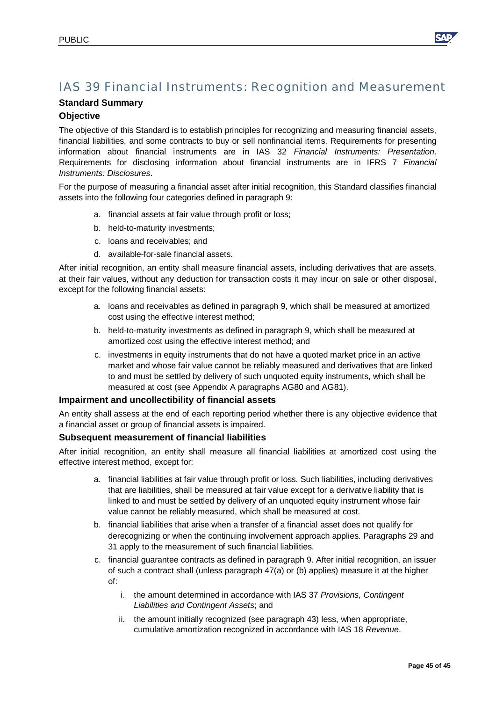

### <span id="page-44-0"></span>IAS 39 Financial Instruments: Recognition and Measurement

#### **Standard Summary**

#### **Objective**

The objective of this Standard is to establish principles for recognizing and measuring financial assets, financial liabilities, and some contracts to buy or sell nonfinancial items. Requirements for presenting information about financial instruments are in IAS 32 *Financial Instruments: Presentation*. Requirements for disclosing information about financial instruments are in IFRS 7 *Financial Instruments: Disclosures*.

For the purpose of measuring a financial asset after initial recognition, this Standard classifies financial assets into the following four categories defined in paragraph 9:

- a. financial assets at fair value through profit or loss;
- b. held-to-maturity investments;
- c. loans and receivables; and
- d. available-for-sale financial assets.

After initial recognition, an entity shall measure financial assets, including derivatives that are assets, at their fair values, without any deduction for transaction costs it may incur on sale or other disposal, except for the following financial assets:

- a. loans and receivables as defined in paragraph 9, which shall be measured at amortized cost using the effective interest method;
- b. held-to-maturity investments as defined in paragraph 9, which shall be measured at amortized cost using the effective interest method; and
- c. investments in equity instruments that do not have a quoted market price in an active market and whose fair value cannot be reliably measured and derivatives that are linked to and must be settled by delivery of such unquoted equity instruments, which shall be measured at cost (see Appendix A paragraphs AG80 and AG81).

#### **Impairment and uncollectibility of financial assets**

An entity shall assess at the end of each reporting period whether there is any objective evidence that a financial asset or group of financial assets is impaired.

#### **Subsequent measurement of financial liabilities**

After initial recognition, an entity shall measure all financial liabilities at amortized cost using the effective interest method, except for:

- a. financial liabilities at fair value through profit or loss. Such liabilities, including derivatives that are liabilities, shall be measured at fair value except for a derivative liability that is linked to and must be settled by delivery of an unquoted equity instrument whose fair value cannot be reliably measured, which shall be measured at cost.
- b. financial liabilities that arise when a transfer of a financial asset does not qualify for derecognizing or when the continuing involvement approach applies. Paragraphs 29 and 31 apply to the measurement of such financial liabilities.
- c. financial guarantee contracts as defined in paragraph 9. After initial recognition, an issuer of such a contract shall (unless paragraph 47(a) or (b) applies) measure it at the higher of:
	- i. the amount determined in accordance with IAS 37 *Provisions, Contingent Liabilities and Contingent Assets*; and
	- ii. the amount initially recognized (see paragraph 43) less, when appropriate, cumulative amortization recognized in accordance with IAS 18 *Revenue*.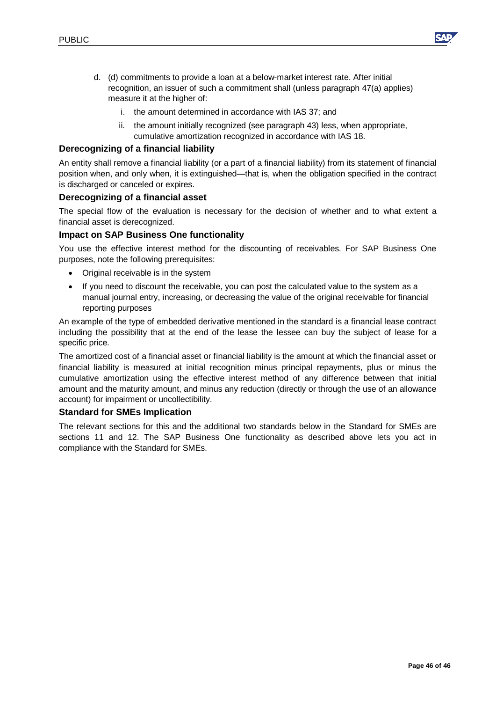

- d. (d) commitments to provide a loan at a below-market interest rate. After initial recognition, an issuer of such a commitment shall (unless paragraph 47(a) applies) measure it at the higher of:
	- i. the amount determined in accordance with IAS 37; and
	- ii. the amount initially recognized (see paragraph 43) less, when appropriate, cumulative amortization recognized in accordance with IAS 18.

#### **Derecognizing of a financial liability**

An entity shall remove a financial liability (or a part of a financial liability) from its statement of financial position when, and only when, it is extinguished—that is, when the obligation specified in the contract is discharged or canceled or expires.

#### **Derecognizing of a financial asset**

The special flow of the evaluation is necessary for the decision of whether and to what extent a financial asset is derecognized.

#### **Impact on SAP Business One functionality**

You use the effective interest method for the discounting of receivables. For SAP Business One purposes, note the following prerequisites:

- Original receivable is in the system
- If you need to discount the receivable, you can post the calculated value to the system as a manual journal entry, increasing, or decreasing the value of the original receivable for financial reporting purposes

An example of the type of embedded derivative mentioned in the standard is a financial lease contract including the possibility that at the end of the lease the lessee can buy the subject of lease for a specific price.

The amortized cost of a financial asset or financial liability is the amount at which the financial asset or financial liability is measured at initial recognition minus principal repayments, plus or minus the cumulative amortization using the effective interest method of any difference between that initial amount and the maturity amount, and minus any reduction (directly or through the use of an allowance account) for impairment or uncollectibility.

#### **Standard for SMEs Implication**

The relevant sections for this and the additional two standards below in the Standard for SMEs are sections 11 and 12. The SAP Business One functionality as described above lets you act in compliance with the Standard for SMEs.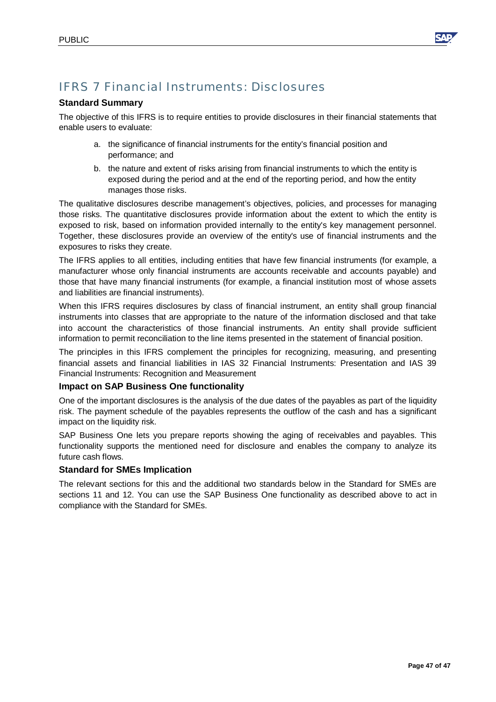

### <span id="page-46-0"></span>IFRS 7 Financial Instruments: Disclosures

#### **Standard Summary**

The objective of this IFRS is to require entities to provide disclosures in their financial statements that enable users to evaluate:

- a. the significance of financial instruments for the entity's financial position and performance; and
- b. the nature and extent of risks arising from financial instruments to which the entity is exposed during the period and at the end of the reporting period, and how the entity manages those risks.

The qualitative disclosures describe management's objectives, policies, and processes for managing those risks. The quantitative disclosures provide information about the extent to which the entity is exposed to risk, based on information provided internally to the entity's key management personnel. Together, these disclosures provide an overview of the entity's use of financial instruments and the exposures to risks they create.

The IFRS applies to all entities, including entities that have few financial instruments (for example, a manufacturer whose only financial instruments are accounts receivable and accounts payable) and those that have many financial instruments (for example, a financial institution most of whose assets and liabilities are financial instruments).

When this IFRS requires disclosures by class of financial instrument, an entity shall group financial instruments into classes that are appropriate to the nature of the information disclosed and that take into account the characteristics of those financial instruments. An entity shall provide sufficient information to permit reconciliation to the line items presented in the statement of financial position.

The principles in this IFRS complement the principles for recognizing, measuring, and presenting financial assets and financial liabilities in IAS 32 Financial Instruments: Presentation and IAS 39 Financial Instruments: Recognition and Measurement

#### **Impact on SAP Business One functionality**

One of the important disclosures is the analysis of the due dates of the payables as part of the liquidity risk. The payment schedule of the payables represents the outflow of the cash and has a significant impact on the liquidity risk.

SAP Business One lets you prepare reports showing the aging of receivables and payables. This functionality supports the mentioned need for disclosure and enables the company to analyze its future cash flows.

#### **Standard for SMEs Implication**

The relevant sections for this and the additional two standards below in the Standard for SMEs are sections 11 and 12. You can use the SAP Business One functionality as described above to act in compliance with the Standard for SMEs.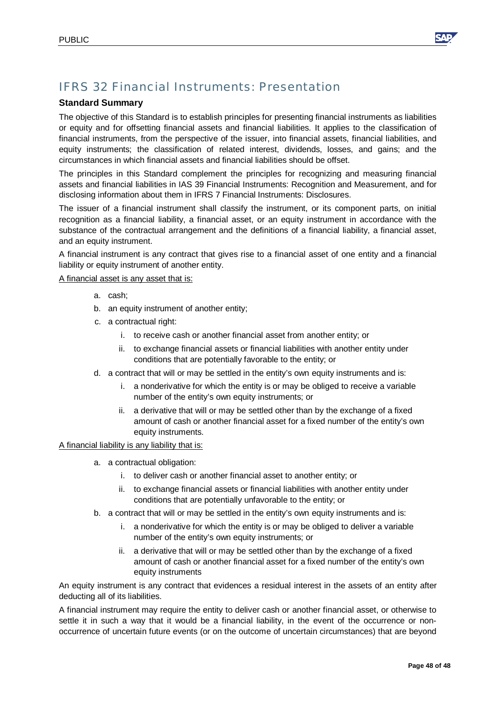

### <span id="page-47-0"></span>IFRS 32 Financial Instruments: Presentation

#### **Standard Summary**

The objective of this Standard is to establish principles for presenting financial instruments as liabilities or equity and for offsetting financial assets and financial liabilities. It applies to the classification of financial instruments, from the perspective of the issuer, into financial assets, financial liabilities, and equity instruments; the classification of related interest, dividends, losses, and gains; and the circumstances in which financial assets and financial liabilities should be offset.

The principles in this Standard complement the principles for recognizing and measuring financial assets and financial liabilities in IAS 39 Financial Instruments: Recognition and Measurement, and for disclosing information about them in IFRS 7 Financial Instruments: Disclosures.

The issuer of a financial instrument shall classify the instrument, or its component parts, on initial recognition as a financial liability, a financial asset, or an equity instrument in accordance with the substance of the contractual arrangement and the definitions of a financial liability, a financial asset, and an equity instrument.

A financial instrument is any contract that gives rise to a financial asset of one entity and a financial liability or equity instrument of another entity.

A financial asset is any asset that is:

- a. cash;
- b. an equity instrument of another entity:
- c. a contractual right:
	- i. to receive cash or another financial asset from another entity; or
	- ii. to exchange financial assets or financial liabilities with another entity under conditions that are potentially favorable to the entity; or
- d. a contract that will or may be settled in the entity's own equity instruments and is:
	- i. a nonderivative for which the entity is or may be obliged to receive a variable number of the entity's own equity instruments; or
	- ii. a derivative that will or may be settled other than by the exchange of a fixed amount of cash or another financial asset for a fixed number of the entity's own equity instruments.

#### A financial liability is any liability that is:

- a. a contractual obligation:
	- i. to deliver cash or another financial asset to another entity; or
	- ii. to exchange financial assets or financial liabilities with another entity under conditions that are potentially unfavorable to the entity; or
- b. a contract that will or may be settled in the entity's own equity instruments and is:
	- i. a nonderivative for which the entity is or may be obliged to deliver a variable number of the entity's own equity instruments; or
	- ii. a derivative that will or may be settled other than by the exchange of a fixed amount of cash or another financial asset for a fixed number of the entity's own equity instruments

An equity instrument is any contract that evidences a residual interest in the assets of an entity after deducting all of its liabilities.

A financial instrument may require the entity to deliver cash or another financial asset, or otherwise to settle it in such a way that it would be a financial liability, in the event of the occurrence or nonoccurrence of uncertain future events (or on the outcome of uncertain circumstances) that are beyond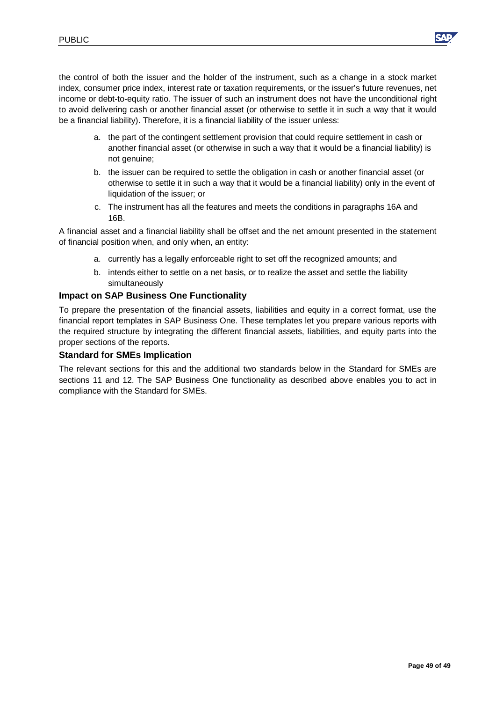

the control of both the issuer and the holder of the instrument, such as a change in a stock market index, consumer price index, interest rate or taxation requirements, or the issuer's future revenues, net income or debt-to-equity ratio. The issuer of such an instrument does not have the unconditional right to avoid delivering cash or another financial asset (or otherwise to settle it in such a way that it would be a financial liability). Therefore, it is a financial liability of the issuer unless:

- a. the part of the contingent settlement provision that could require settlement in cash or another financial asset (or otherwise in such a way that it would be a financial liability) is not genuine;
- b. the issuer can be required to settle the obligation in cash or another financial asset (or otherwise to settle it in such a way that it would be a financial liability) only in the event of liquidation of the issuer; or
- c. The instrument has all the features and meets the conditions in paragraphs 16A and 16B.

A financial asset and a financial liability shall be offset and the net amount presented in the statement of financial position when, and only when, an entity:

- a. currently has a legally enforceable right to set off the recognized amounts; and
- b. intends either to settle on a net basis, or to realize the asset and settle the liability simultaneously

#### **Impact on SAP Business One Functionality**

To prepare the presentation of the financial assets, liabilities and equity in a correct format, use the financial report templates in SAP Business One. These templates let you prepare various reports with the required structure by integrating the different financial assets, liabilities, and equity parts into the proper sections of the reports.

#### **Standard for SMEs Implication**

The relevant sections for this and the additional two standards below in the Standard for SMEs are sections 11 and 12. The SAP Business One functionality as described above enables you to act in compliance with the Standard for SMEs.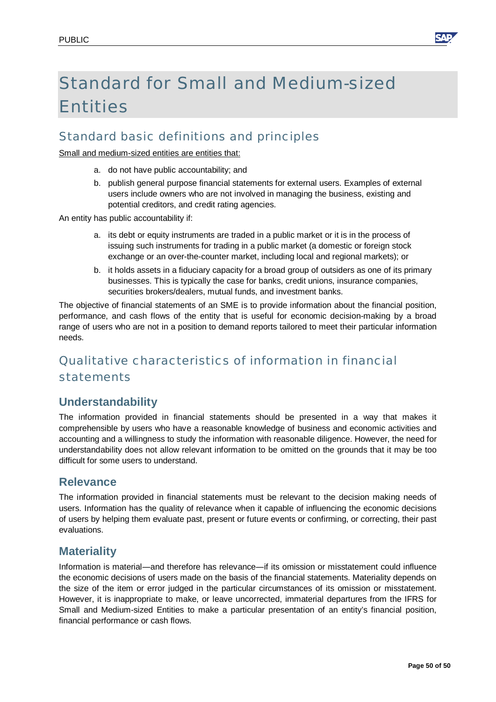

# <span id="page-49-0"></span>Standard for Small and Medium-sized **Entities**

### <span id="page-49-1"></span>Standard basic definitions and principles

Small and medium-sized entities are entities that:

- a. do not have public accountability; and
- b. publish general purpose financial statements for external users. Examples of external users include owners who are not involved in managing the business, existing and potential creditors, and credit rating agencies.

An entity has public accountability if:

- a. its debt or equity instruments are traded in a public market or it is in the process of issuing such instruments for trading in a public market (a domestic or foreign stock exchange or an over-the-counter market, including local and regional markets); or
- b. it holds assets in a fiduciary capacity for a broad group of outsiders as one of its primary businesses. This is typically the case for banks, credit unions, insurance companies, securities brokers/dealers, mutual funds, and investment banks.

The objective of financial statements of an SME is to provide information about the financial position, performance, and cash flows of the entity that is useful for economic decision-making by a broad range of users who are not in a position to demand reports tailored to meet their particular information needs.

### <span id="page-49-2"></span>Qualitative characteristics of information in financial statements

### <span id="page-49-3"></span>**Understandability**

The information provided in financial statements should be presented in a way that makes it comprehensible by users who have a reasonable knowledge of business and economic activities and accounting and a willingness to study the information with reasonable diligence. However, the need for understandability does not allow relevant information to be omitted on the grounds that it may be too difficult for some users to understand.

#### <span id="page-49-4"></span>**Relevance**

The information provided in financial statements must be relevant to the decision making needs of users. Information has the quality of relevance when it capable of influencing the economic decisions of users by helping them evaluate past, present or future events or confirming, or correcting, their past evaluations.

#### <span id="page-49-5"></span>**Materiality**

Information is material—and therefore has relevance—if its omission or misstatement could influence the economic decisions of users made on the basis of the financial statements. Materiality depends on the size of the item or error judged in the particular circumstances of its omission or misstatement. However, it is inappropriate to make, or leave uncorrected, immaterial departures from the IFRS for Small and Medium-sized Entities to make a particular presentation of an entity's financial position, financial performance or cash flows.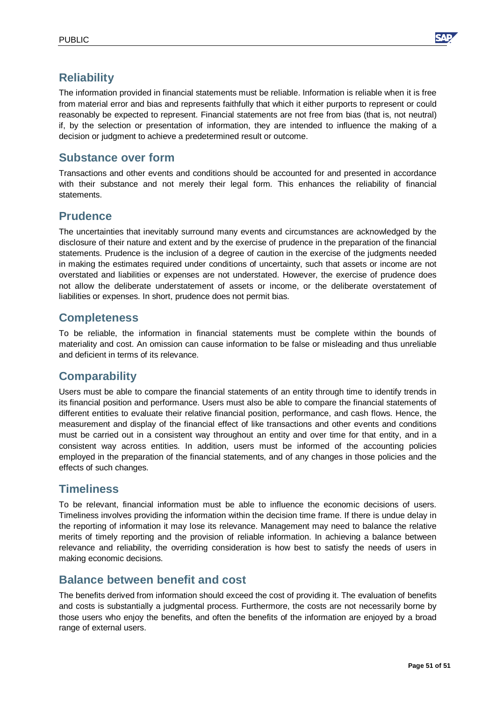

### <span id="page-50-0"></span>**Reliability**

The information provided in financial statements must be reliable. Information is reliable when it is free from material error and bias and represents faithfully that which it either purports to represent or could reasonably be expected to represent. Financial statements are not free from bias (that is, not neutral) if, by the selection or presentation of information, they are intended to influence the making of a decision or judgment to achieve a predetermined result or outcome.

### <span id="page-50-1"></span>**Substance over form**

Transactions and other events and conditions should be accounted for and presented in accordance with their substance and not merely their legal form. This enhances the reliability of financial statements.

### <span id="page-50-2"></span>**Prudence**

The uncertainties that inevitably surround many events and circumstances are acknowledged by the disclosure of their nature and extent and by the exercise of prudence in the preparation of the financial statements. Prudence is the inclusion of a degree of caution in the exercise of the judgments needed in making the estimates required under conditions of uncertainty, such that assets or income are not overstated and liabilities or expenses are not understated. However, the exercise of prudence does not allow the deliberate understatement of assets or income, or the deliberate overstatement of liabilities or expenses. In short, prudence does not permit bias.

### <span id="page-50-3"></span>**Completeness**

To be reliable, the information in financial statements must be complete within the bounds of materiality and cost. An omission can cause information to be false or misleading and thus unreliable and deficient in terms of its relevance.

### <span id="page-50-4"></span>**Comparability**

Users must be able to compare the financial statements of an entity through time to identify trends in its financial position and performance. Users must also be able to compare the financial statements of different entities to evaluate their relative financial position, performance, and cash flows. Hence, the measurement and display of the financial effect of like transactions and other events and conditions must be carried out in a consistent way throughout an entity and over time for that entity, and in a consistent way across entities. In addition, users must be informed of the accounting policies employed in the preparation of the financial statements, and of any changes in those policies and the effects of such changes.

### <span id="page-50-5"></span>**Timeliness**

To be relevant, financial information must be able to influence the economic decisions of users. Timeliness involves providing the information within the decision time frame. If there is undue delay in the reporting of information it may lose its relevance. Management may need to balance the relative merits of timely reporting and the provision of reliable information. In achieving a balance between relevance and reliability, the overriding consideration is how best to satisfy the needs of users in making economic decisions.

### <span id="page-50-6"></span>**Balance between benefit and cost**

The benefits derived from information should exceed the cost of providing it. The evaluation of benefits and costs is substantially a judgmental process. Furthermore, the costs are not necessarily borne by those users who enjoy the benefits, and often the benefits of the information are enjoyed by a broad range of external users.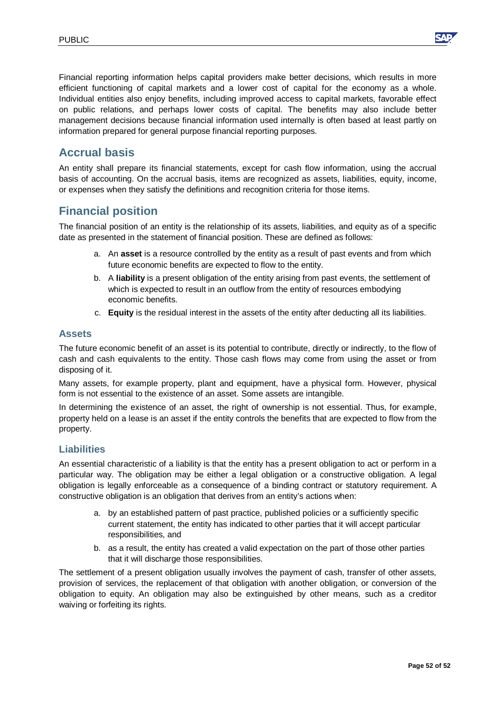

Financial reporting information helps capital providers make better decisions, which results in more efficient functioning of capital markets and a lower cost of capital for the economy as a whole. Individual entities also enjoy benefits, including improved access to capital markets, favorable effect on public relations, and perhaps lower costs of capital. The benefits may also include better management decisions because financial information used internally is often based at least partly on information prepared for general purpose financial reporting purposes.

### <span id="page-51-0"></span>**Accrual basis**

An entity shall prepare its financial statements, except for cash flow information, using the accrual basis of accounting. On the accrual basis, items are recognized as assets, liabilities, equity, income, or expenses when they satisfy the definitions and recognition criteria for those items.

### **Financial position**

The financial position of an entity is the relationship of its assets, liabilities, and equity as of a specific date as presented in the statement of financial position. These are defined as follows:

- a. An **asset** is a resource controlled by the entity as a result of past events and from which future economic benefits are expected to flow to the entity.
- b. A **liability** is a present obligation of the entity arising from past events, the settlement of which is expected to result in an outflow from the entity of resources embodying economic benefits.
- c. **Equity** is the residual interest in the assets of the entity after deducting all its liabilities.

#### **Assets**

The future economic benefit of an asset is its potential to contribute, directly or indirectly, to the flow of cash and cash equivalents to the entity. Those cash flows may come from using the asset or from disposing of it.

Many assets, for example property, plant and equipment, have a physical form. However, physical form is not essential to the existence of an asset. Some assets are intangible.

In determining the existence of an asset, the right of ownership is not essential. Thus, for example, property held on a lease is an asset if the entity controls the benefits that are expected to flow from the property.

#### **Liabilities**

An essential characteristic of a liability is that the entity has a present obligation to act or perform in a particular way. The obligation may be either a legal obligation or a constructive obligation. A legal obligation is legally enforceable as a consequence of a binding contract or statutory requirement. A constructive obligation is an obligation that derives from an entity's actions when:

- a. by an established pattern of past practice, published policies or a sufficiently specific current statement, the entity has indicated to other parties that it will accept particular responsibilities, and
- b. as a result, the entity has created a valid expectation on the part of those other parties that it will discharge those responsibilities.

The settlement of a present obligation usually involves the payment of cash, transfer of other assets, provision of services, the replacement of that obligation with another obligation, or conversion of the obligation to equity. An obligation may also be extinguished by other means, such as a creditor waiving or forfeiting its rights.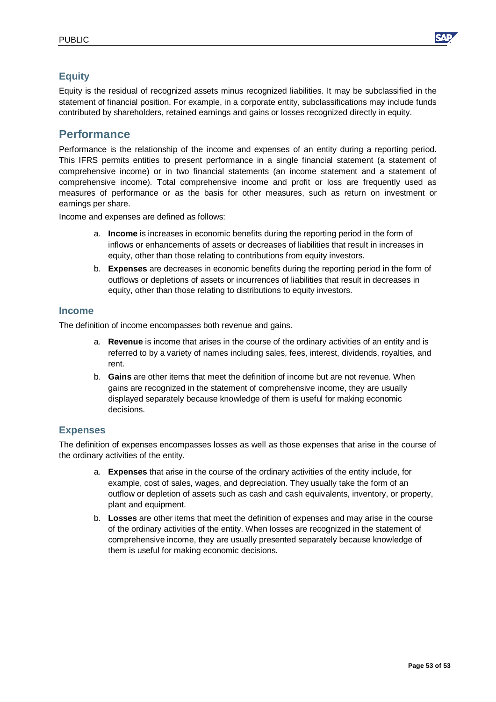

#### **Equity**

Equity is the residual of recognized assets minus recognized liabilities. It may be subclassified in the statement of financial position. For example, in a corporate entity, subclassifications may include funds contributed by shareholders, retained earnings and gains or losses recognized directly in equity.

#### <span id="page-52-0"></span>**Performance**

Performance is the relationship of the income and expenses of an entity during a reporting period. This IFRS permits entities to present performance in a single financial statement (a statement of comprehensive income) or in two financial statements (an income statement and a statement of comprehensive income). Total comprehensive income and profit or loss are frequently used as measures of performance or as the basis for other measures, such as return on investment or earnings per share.

Income and expenses are defined as follows:

- a. **Income** is increases in economic benefits during the reporting period in the form of inflows or enhancements of assets or decreases of liabilities that result in increases in equity, other than those relating to contributions from equity investors.
- b. **Expenses** are decreases in economic benefits during the reporting period in the form of outflows or depletions of assets or incurrences of liabilities that result in decreases in equity, other than those relating to distributions to equity investors.

#### **Income**

The definition of income encompasses both revenue and gains.

- a. **Revenue** is income that arises in the course of the ordinary activities of an entity and is referred to by a variety of names including sales, fees, interest, dividends, royalties, and rent.
- b. **Gains** are other items that meet the definition of income but are not revenue. When gains are recognized in the statement of comprehensive income, they are usually displayed separately because knowledge of them is useful for making economic decisions.

#### **Expenses**

The definition of expenses encompasses losses as well as those expenses that arise in the course of the ordinary activities of the entity.

- a. **Expenses** that arise in the course of the ordinary activities of the entity include, for example, cost of sales, wages, and depreciation. They usually take the form of an outflow or depletion of assets such as cash and cash equivalents, inventory, or property, plant and equipment.
- b. **Losses** are other items that meet the definition of expenses and may arise in the course of the ordinary activities of the entity. When losses are recognized in the statement of comprehensive income, they are usually presented separately because knowledge of them is useful for making economic decisions.